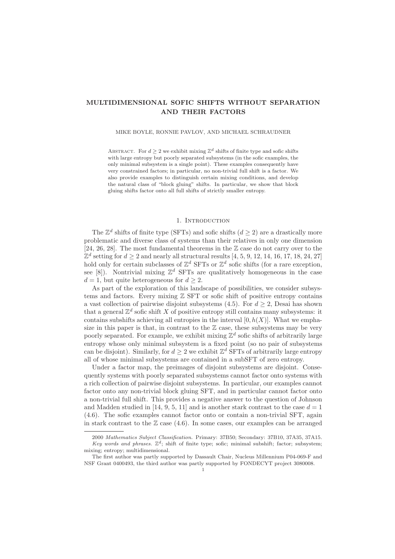### MULTIDIMENSIONAL SOFIC SHIFTS WITHOUT SEPARATION AND THEIR FACTORS

#### MIKE BOYLE, RONNIE PAVLOV, AND MICHAEL SCHRAUDNER

ABSTRACT. For  $d \geq 2$  we exhibit mixing  $\mathbb{Z}^d$  shifts of finite type and sofic shifts with large entropy but poorly separated subsystems (in the sofic examples, the only minimal subsystem is a single point). These examples consequently have very constrained factors; in particular, no non-trivial full shift is a factor. We also provide examples to distinguish certain mixing conditions, and develop the natural class of "block gluing" shifts. In particular, we show that block gluing shifts factor onto all full shifts of strictly smaller entropy.

### 1. INTRODUCTION

The  $\mathbb{Z}^d$  shifts of finite type (SFTs) and sofic shifts  $(d \geq 2)$  are a drastically more problematic and diverse class of systems than their relatives in only one dimension [24, 26, 28]. The most fundamental theorems in the  $\mathbb Z$  case do not carry over to the  $\mathbb{Z}^d$  setting for  $d \geq 2$  and nearly all structural results [4, 5, 9, 12, 14, 16, 17, 18, 24, 27] hold only for certain subclasses of  $\mathbb{Z}^d$  SFTs or  $\mathbb{Z}^d$  sofic shifts (for a rare exception, see [8]). Nontrivial mixing  $\mathbb{Z}^d$  SFTs are qualitatively homogeneous in the case  $d = 1$ , but quite heterogeneous for  $d \geq 2$ .

As part of the exploration of this landscape of possibilities, we consider subsystems and factors. Every mixing  $\mathbb Z$  SFT or sofic shift of positive entropy contains a vast collection of pairwise disjoint subsystems  $(4.5)$ . For  $d \geq 2$ , Desai has shown that a general  $\mathbb{Z}^d$  sofic shift X of positive entropy still contains many subsystems: it contains subshifts achieving all entropies in the interval  $[0,h(X)]$ . What we emphasize in this paper is that, in contrast to the  $\mathbb Z$  case, these subsystems may be very poorly separated. For example, we exhibit mixing  $\mathbb{Z}^d$  sofic shifts of arbitrarily large entropy whose only minimal subsystem is a fixed point (so no pair of subsystems can be disjoint). Similarly, for  $d \geq 2$  we exhibit  $\mathbb{Z}^d$  SFTs of arbitrarily large entropy all of whose minimal subsystems are contained in a subSFT of zero entropy.

Under a factor map, the preimages of disjoint subsystems are disjoint. Consequently systems with poorly separated subsystems cannot factor onto systems with a rich collection of pairwise disjoint subsystems. In particular, our examples cannot factor onto any non-trivial block gluing SFT, and in particular cannot factor onto a non-trivial full shift. This provides a negative answer to the question of Johnson and Madden studied in [14, 9, 5, 11] and is another stark contrast to the case  $d = 1$ (4.6). The sofic examples cannot factor onto or contain a non-trivial SFT, again in stark contrast to the  $\mathbb Z$  case (4.6). In some cases, our examples can be arranged

<sup>2000</sup> Mathematics Subject Classification. Primary: 37B50; Secondary: 37B10, 37A35, 37A15. Key words and phrases.  $\mathbb{Z}^d$ ; shift of finite type; sofic; minimal subshift; factor; subsystem;

mixing; entropy; multidimensional.

The first author was partly supported by Dassault Chair, Nucleus Millennium P04-069-F and NSF Grant 0400493, the third author was partly supported by FONDECYT project 3080008.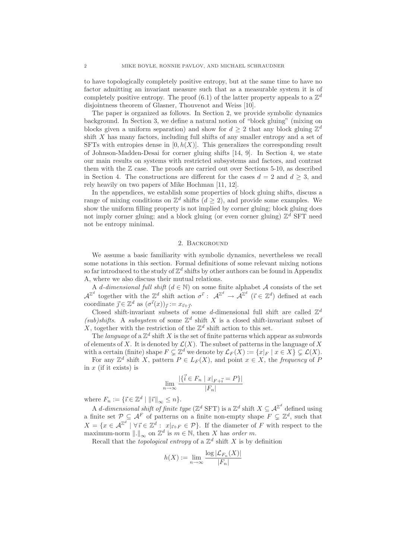to have topologically completely positive entropy, but at the same time to have no factor admitting an invariant measure such that as a measurable system it is of completely positive entropy. The proof (6.1) of the latter property appeals to a  $\mathbb{Z}^d$ disjointness theorem of Glasner, Thouvenot and Weiss [10].

The paper is organized as follows. In Section 2, we provide symbolic dynamics background. In Section 3, we define a natural notion of "block gluing" (mixing on blocks given a uniform separation) and show for  $d \geq 2$  that any block gluing  $\mathbb{Z}^d$ shift X has many factors, including full shifts of any smaller entropy and a set of SFTs with entropies dense in  $[0,h(X)]$ . This generalizes the corresponding result of Johnson-Madden-Desai for corner gluing shifts [14, 9]. In Section 4, we state our main results on systems with restricted subsystems and factors, and contrast them with the  $\mathbb Z$  case. The proofs are carried out over Sections 5-10, as described in Section 4. The constructions are different for the cases  $d = 2$  and  $d \geq 3$ , and rely heavily on two papers of Mike Hochman [11, 12].

In the appendices, we establish some properties of block gluing shifts, discuss a range of mixing conditions on  $\mathbb{Z}^d$  shifts  $(d \geq 2)$ , and provide some examples. We show the uniform filling property is not implied by corner gluing; block gluing does not imply corner gluing; and a block gluing (or even corner gluing)  $\mathbb{Z}^d$  SFT need not be entropy minimal.

#### 2. Background

We assume a basic familiarity with symbolic dynamics, nevertheless we recall some notations in this section. Formal definitions of some relevant mixing notions so far introduced to the study of  $\mathbb{Z}^d$  shifts by other authors can be found in Appendix A, where we also discuss their mutual relations.

A d-dimensional full shift  $(d \in \mathbb{N})$  on some finite alphabet A consists of the set  $\mathcal{A}^{\mathbb{Z}^d}$  together with the  $\mathbb{Z}^d$  shift action  $\sigma^{\vec{i}}$ :  $\mathcal{A}^{\mathbb{Z}^d} \to \mathcal{A}^{\mathbb{Z}^d}$  ( $\vec{i} \in \mathbb{Z}^d$ ) defined at each coordinate  $\vec{j} \in \mathbb{Z}^d$  as  $(\sigma^{\vec{i}}(x))_{\vec{j}} := x_{\vec{i} + \vec{j}}$ .

Closed shift-invariant subsets of some d-dimensional full shift are called  $\mathbb{Z}^d$ (sub)shifts. A subsystem of some  $\mathbb{Z}^d$  shift X is a closed shift-invariant subset of X, together with the restriction of the  $\mathbb{Z}^d$  shift action to this set.

The *language* of a  $\mathbb{Z}^d$  shift X is the set of finite patterns which appear as subwords of elements of X. It is denoted by  $\mathcal{L}(X)$ . The subset of patterns in the language of X with a certain (finite) shape  $F \subseteq \mathbb{Z}^d$  we denote by  $\mathcal{L}_F(X) := \{x|_F \mid x \in X\} \subseteq \mathcal{L}(X)$ .

For any  $\mathbb{Z}^d$  shift X, pattern  $P \in L_F(X)$ , and point  $x \in X$ , the frequency of P in  $x$  (if it exists) is

$$
\lim_{n \to \infty} \frac{|\{\vec{i} \in F_n \mid x|_{F+\vec{i}} = P\}|}{|F_n|}
$$

where  $F_n := \{ \vec{\imath} \in \mathbb{Z}^d \mid ||\vec{\imath}||_{\infty} \leq n \}.$ 

A *d*-dimensional shift of finite type ( $\mathbb{Z}^d$  SFT) is a  $\mathbb{Z}^d$  shift  $X \subseteq \mathcal{A}^{\mathbb{Z}^d}$  defined using a finite set  $\mathcal{P} \subseteq \mathcal{A}^F$  of patterns on a finite non-empty shape  $F \subsetneq \mathbb{Z}^d$ , such that  $X = \{x \in \mathcal{A}^{\mathbb{Z}^d} \mid \forall \vec{i} \in \mathbb{Z}^d : x|_{\vec{i} + F} \in \mathcal{P}\}\.$  If the diameter of F with respect to the maximum-norm  $\|.\|_{\infty}$  on  $\mathbb{Z}^d$  is  $m \in \mathbb{N}$ , then X has order m.

Recall that the *topological entropy* of a  $\mathbb{Z}^d$  shift X is by definition

$$
h(X) := \lim_{n \to \infty} \frac{\log |\mathcal{L}_{F_n}(X)|}{|F_n|}
$$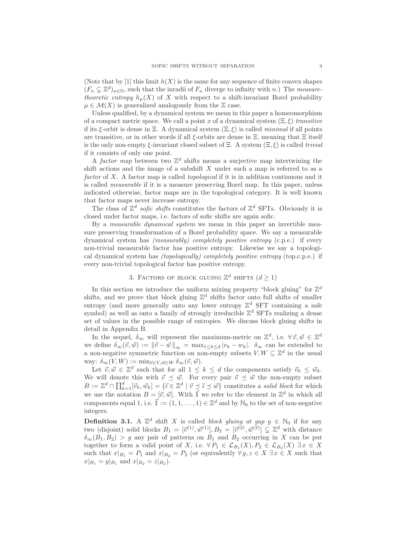(Note that by [1] this limit  $h(X)$  is the same for any sequence of finite convex shapes  $(F_n \subsetneq \mathbb{Z}^d)_{n \in \mathbb{N}}$ , such that the inradii of  $F_n$  diverge to infinity with n.) The measuretheoretic entropy  $h_\mu(X)$  of X with respect to a shift-invariant Borel probability  $\mu \in \mathcal{M}(X)$  is generalized analogously from the Z case.

Unless qualified, by a dynamical system we mean in this paper a homeomorphism of a compact metric space. We call a point x of a dynamical system  $(\Xi, \xi)$  transitive if its  $\xi$ -orbit is dense in Ξ. A dynamical system  $(\Xi, \xi)$  is called *minimal* if all points are transitive, or in other words if all  $\xi$ -orbits are dense in  $\Xi$ , meaning that  $\Xi$  itself is the only non-empty  $\xi$ -invariant closed subset of  $\Xi$ . A system  $(\Xi,\xi)$  is called trivial if it consists of only one point.

A factor map between two  $\mathbb{Z}^d$  shifts means a surjective map intertwining the shift actions and the image of a subshift  $X$  under such a map is referred to as a factor of X. A factor map is called *topological* if it is in addition continuous and it is called measurable if it is a measure preserving Borel map. In this paper, unless indicated otherwise, factor maps are in the topological category. It is well known that factor maps never increase entropy.

The class of  $\mathbb{Z}^d$  sofic shifts constitutes the factors of  $\mathbb{Z}^d$  SFTs. Obviously it is closed under factor maps, i.e. factors of sofic shifts are again sofic.

By a measurable dynamical system we mean in this paper an invertible measure preserving transformation of a Borel probability space. We say a measurable dynamical system has *(measurably)* completely positive entropy  $(c.p.e.)$  if every non-trivial measurable factor has positive entropy. Likewise we say a topological dynamical system has (topologically) completely positive entropy (top.c.p.e.) if every non-trivial topological factor has positive entropy.

# 3. FACTORS OF BLOCK GLUING  $\mathbb{Z}^d$  SHIFTS  $(d \ge 1)$

In this section we introduce the uniform mixing property "block gluing" for  $\mathbb{Z}^d$ shifts, and we prove that block gluing  $\mathbb{Z}^d$  shifts factor onto full shifts of smaller entropy (and more generally onto any lower entropy  $\mathbb{Z}^d$  SFT containing a safe symbol) as well as onto a family of strongly irreducible  $\mathbb{Z}^d$  SFTs realizing a dense set of values in the possible range of entropies. We discuss block gluing shifts in detail in Appendix B.

In the sequel,  $\delta_{\infty}$  will represent the maximum-metric on  $\mathbb{Z}^d$ , i.e.  $\forall \vec{v}, \vec{w} \in \mathbb{Z}^d$ we define  $\delta_{\infty}(\vec{v}, \vec{w}) := ||\vec{v} - \vec{w}||_{\infty} = \max_{1 \leq k \leq d} |v_k - w_k|$ .  $\delta_{\infty}$  can be extended to a non-negative symmetric function on non-empty subsets  $V, W \subseteq \mathbb{Z}^d$  in the usual way:  $\delta_{\infty}(V, W) := \min_{\vec{v} \in V, \vec{w} \in W} \delta_{\infty}(\vec{v}, \vec{w}).$ 

Let  $\vec{v}, \vec{w} \in \mathbb{Z}^d$  such that for all  $1 \leq k \leq d$  the components satisfy  $\vec{v}_k \leq \vec{w}_k$ . We will denote this with  $\vec{v} \preceq \vec{w}$ . For every pair  $\vec{v} \preceq \vec{w}$  the non-empty subset  $B := \mathbb{Z}^d \cap \prod_{k=1}^d [\vec{v}_k, \vec{w}_k] = \{ \vec{v} \in \mathbb{Z}^d \mid \vec{v} \leq \vec{v} \leq \vec{w} \}$  constitutes a solid block for which we use the notation  $B = [\vec{v}, \vec{w}]$ . With  $\vec{\mathbb{I}}$  we refer to the element in  $\mathbb{Z}^d$  in which all components equal 1, i.e.  $\vec{\mathbb{I}} := (1, 1, \ldots, 1) \in \mathbb{Z}^d$  and by  $\mathbb{N}_0$  to the set of non-negative integers.

**Definition 3.1.** A  $\mathbb{Z}^d$  shift X is called block gluing at gap  $g \in \mathbb{N}_0$  if for any two (disjoint) solid blocks  $B_1 = [\vec{v}^{(1)}, \vec{w}^{(1)}], B_2 = [\vec{v}^{(2)}, \vec{w}^{(2)}] \subsetneq \mathbb{Z}^d$  with distance  $\delta_{\infty}(B_1,B_2) > g$  any pair of patterns on  $B_1$  and  $B_2$  occurring in X can be put together to form a valid point of X, i.e.  $\forall P_1 \in \mathcal{L}_{B_1}(X), P_2 \in \mathcal{L}_{B_2}(X) \exists x \in X$ such that  $x|_{B_1} = P_1$  and  $x|_{B_2} = P_2$  (or equivalently  $\forall y, z \in X \exists x \in X$  such that  $x|_{B_1} = y|_{B_1}$  and  $x|_{B_2} = z|_{B_2}$ .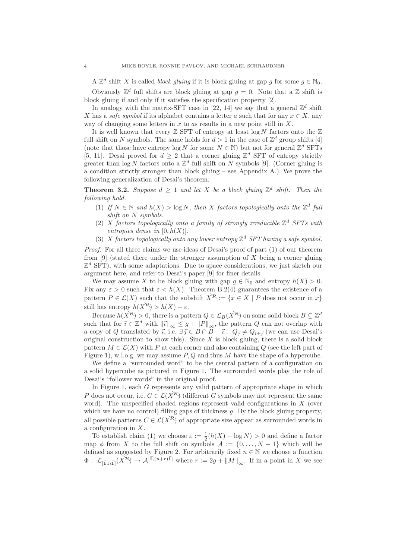A  $\mathbb{Z}^d$  shift X is called *block gluing* if it is block gluing at gap g for some  $g \in \mathbb{N}_0$ . Obviously  $\mathbb{Z}^d$  full shifts are block gluing at gap  $g = 0$ . Note that a  $\mathbb Z$  shift is block gluing if and only if it satisfies the specification property [2].

In analogy with the matrix-SFT case in [22, 14] we say that a general  $\mathbb{Z}^d$  shift X has a safe symbol if its alphabet contains a letter a such that for any  $x \in X$ , any way of changing some letters in  $x$  to as results in a new point still in  $X$ .

It is well known that every  $\mathbb Z$  SFT of entropy at least  $\log N$  factors onto the  $\mathbb Z$ full shift on N symbols. The same holds for  $d > 1$  in the case of  $\mathbb{Z}^d$  group shifts [4] (note that those have entropy  $\log N$  for some  $N \in \mathbb{N}$ ) but not for general  $\mathbb{Z}^d$  SFTs [5, 11]. Desai proved for  $d \geq 2$  that a corner gluing  $\mathbb{Z}^d$  SFT of entropy strictly greater than  $\log N$  factors onto a  $\mathbb{Z}^d$  full shift on N symbols [9]. (Corner gluing is a condition strictly stronger than block gluing  $-$  see Appendix A.) We prove the following generalization of Desai's theorem.

**Theorem 3.2.** Suppose  $d \geq 1$  and let X be a block gluing  $\mathbb{Z}^d$  shift. Then the following hold.

- (1) If  $N \in \mathbb{N}$  and  $h(X) > \log N$ , then X factors topologically onto the  $\mathbb{Z}^d$  full shift on N symbols.
- (2) X factors topologically onto a family of strongly irreducible  $\mathbb{Z}^d$  SFTs with entropies dense in  $[0, h(X)]$ .
- (3) X factors topologically onto any lower entropy  $\mathbb{Z}^d$  SFT having a safe symbol.

Proof. For all three claims we use ideas of Desai's proof of part (1) of our theorem from  $[9]$  (stated there under the stronger assumption of X being a corner gluing  $\mathbb{Z}^d$  SFT), with some adaptations. Due to space considerations, we just sketch our argument here, and refer to Desai's paper [9] for finer details.

We may assume X to be block gluing with gap  $g \in \mathbb{N}_0$  and entropy  $h(X) > 0$ . Fix any  $\varepsilon > 0$  such that  $\varepsilon < h(X)$ . Theorem B.2(4) guarantees the existence of a pattern  $P \in \mathcal{L}(X)$  such that the subshift  $X^R := \{x \in X \mid P$  does not occur in x still has entropy  $h(X^{\mathcal{R}}) > h(X) - \varepsilon$ .

Because  $h(X^{\mathcal{R}}) > 0$ , there is a pattern  $Q \in \mathcal{L}_B(X^{\mathcal{R}})$  on some solid block  $B \subsetneq \mathbb{Z}^d$ such that for  $\vec{i} \in \mathbb{Z}^d$  with  $\|\vec{i}\|_{\infty} \leq g + \|P\|_{\infty}$ , the pattern Q can not overlap with a copy of Q translated by  $\vec{i}$ , i.e.  $\exists \vec{j} \in B \cap B - \vec{i}$ :  $Q_{\vec{j}} \neq Q_{\vec{i}+\vec{j}}$  (we can use Desai's original construction to show this). Since  $X$  is block gluing, there is a solid block pattern  $M \in \mathcal{L}(X)$  with P at each corner and also containing Q (see the left part of Figure 1), w.l.o.g. we may assume  $P, Q$  and thus M have the shape of a hypercube.

We define a "surrounded word" to be the central pattern of a configuration on a solid hypercube as pictured in Figure 1. The surrounded words play the role of Desai's "follower words" in the original proof.

In Figure 1, each G represents any valid pattern of appropriate shape in which P does not occur, i.e.  $G \in \mathcal{L}(X^{\mathcal{R}})$  (different G symbols may not represent the same word). The unspecified shaded regions represent valid configurations in  $X$  (over which we have no control) filling gaps of thickness  $q$ . By the block gluing property, all possible patterns  $C \in \mathcal{L}(X^{\aleph})$  of appropriate size appear as surrounded words in a configuration in  $X$ .

To establish claim (1) we choose  $\varepsilon := \frac{1}{2}(h(X) - \log N) > 0$  and define a factor map  $\phi$  from X to the full shift on symbols  $\mathcal{A} := \{0, \ldots, N-1\}$  which will be defined as suggested by Figure 2. For arbitrarily fixed  $n \in \mathbb{N}$  we choose a function  $\Phi: \mathcal{L}_{\left[\vec{\mathbb{I}}, n\vec{\mathbb{I}}\right]}(X^{\mathcal{R}}) \to \mathcal{A}^{\left[\vec{\mathbb{I}}, (n+r)\vec{\mathbb{I}}\right]}$  where  $r := 2g + ||M||_{\infty}$ . If in a point in X we see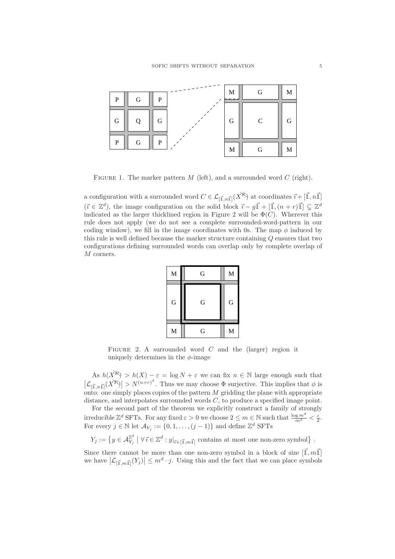

FIGURE 1. The marker pattern  $M$  (left), and a surrounded word  $C$  (right).

a configuration with a surrounded word  $C \in \mathcal{L}_{[\vec{1}, n\vec{1}]}(X^{\mathcal{R}})$  at coordinates  $\vec{i} + [\vec{1}, n\vec{1}]$  $(\vec{i} \in \mathbb{Z}^d)$ , the image configuration on the solid block  $\vec{i} - g\vec{\mathbb{I}} + [\vec{\mathbb{I}},(n+r)\vec{\mathbb{I}}] \subsetneq \mathbb{Z}^d$ indicated as the larger thicklined region in Figure 2 will be  $\Phi(C)$ . Wherever this rule does not apply (we do not see a complete surrounded-word-pattern in our coding window), we fill in the image coordinates with 0s. The map  $\phi$  induced by this rule is well defined because the marker structure containing  $Q$  ensures that two configurations defining surrounded words can overlap only by complete overlap of M corners.



FIGURE 2. A surrounded word  $C$  and the (larger) region it uniquely determines in the  $\phi$ -image

As  $h(X^{\mathcal{R}}) > h(X) - \varepsilon = \log N + \varepsilon$  we can fix  $n \in \mathbb{N}$  large enough such that  $|\mathcal{L}_{[\vec{1}, n\vec{1}]}(X^{\mathcal{R}})| > N^{(n+r)^d}$ . Thus we may choose  $\Phi$  surjective. This implies that  $\phi$  is onto: one simply places copies of the pattern  $M$  gridding the plane with appropriate distance, and interpolates surrounded words  $C$ , to produce a specified image point.

For the second part of the theorem we explicitly construct a family of strongly irreducible  $\mathbb{Z}^d$  SFTs. For any fixed  $\varepsilon > 0$  we choose  $2 \le m \in \mathbb{N}$  such that  $\frac{\log m^d}{m^d} < \frac{\varepsilon}{2}$ . For every  $j \in \mathbb{N}$  let  $\mathcal{A}_{Y_j} := \{0, 1, \ldots, (j-1)\}$  and define  $\mathbb{Z}^d$  SFTs

$$
Y_j := \left\{ y \in \mathcal{A}_{Y_j}^{\mathbb{Z}^d} \mid \forall \, \vec{\imath} \in \mathbb{Z}^d : y|_{\vec{\imath} + [\vec{1}, m\vec{1}]} \text{ contains at most one non-zero symbol} \right\}.
$$

Since there cannot be more than one non-zero symbol in a block of size  $[\vec{1},m\vec{1}]$ we have  $|\mathcal{L}_{[\vec{1},m\vec{1}]}(Y_j)| \leq m^d \cdot j$ . Using this and the fact that we can place symbols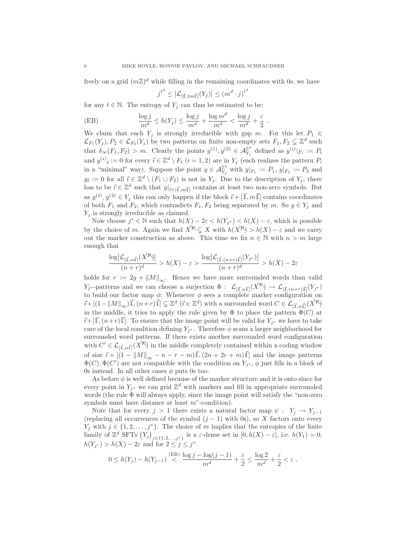freely on a grid  $(m\mathbb{Z})^d$  while filling in the remaining coordinates with 0s, we have

$$
j^{t^d} \le \left| \mathcal{L}_{\left[\vec{\mathbf{I}},tm\vec{\mathbf{I}}\right]}(Y_j) \right| \le \left(m^d \cdot j\right)^{t^d}
$$

for any  $t \in \mathbb{N}$ . The entropy of  $Y_i$  can thus be estimated to be:

(EB) 
$$
\frac{\log j}{m^d} \le h(Y_j) \le \frac{\log j}{m^d} + \frac{\log m^d}{m^d} < \frac{\log j}{m^d} + \frac{\varepsilon}{2}.
$$

We claim that each  $Y_i$  is strongly irreducible with gap m. For this let  $P_1 \in$  $\mathcal{L}_{F_1}(Y_j), P_2 \in \mathcal{L}_{F_2}(Y_j)$  be two patterns on finite non-empty sets  $F_1, F_2 \subsetneq \mathbb{Z}^d$  such that  $\delta_{\infty}(F_1, F_2) > m$ . Clearly the points  $y^{(1)}, y^{(2)} \in \mathcal{A}_{Y_j}^{\mathbb{Z}^d}$  defined as  $y^{(i)}|_{F_i} := P_i$ and  $y^{(i)}_{\vec{i}} := 0$  for every  $\vec{i} \in \mathbb{Z}^d \setminus F_i$   $(i = 1, 2)$  are in  $Y_j$  (each realizes the pattern  $P_i$ in a "minimal" way). Suppose the point  $y \in \mathcal{A}_{Y_j}^{\mathbb{Z}^d}$  with  $y|_{F_1} := P_1$ ,  $y|_{F_2} := P_2$  and  $y_{\vec{i}} := 0$  for all  $\vec{i} \in \mathbb{Z}^d \setminus (F_1 \cup F_2)$  is not in  $Y_j$ . Due to the description of  $Y_j$ , there has to be  $\vec{i} \in \mathbb{Z}^d$  such that  $y|_{\vec{i} + [\vec{1}, m\vec{1}]}$  contains at least two non-zero symbols. But as  $y^{(1)}, y^{(2)} \in Y_j$  this can only happen if the block  $\vec{i} + [\vec{\mathbb{I}}, m\vec{\mathbb{I}}]$  contains coordinates of both  $F_1$  and  $F_2$ , which contradicts  $F_1, F_2$  being separated by m. So  $y \in Y_j$  and  $Y_i$  is strongly irreducible as claimed.

Now choose  $j^* \in \mathbb{N}$  such that  $h(X) - 2\varepsilon < h(Y_{j^*}) < h(X) - \varepsilon$ , which is possible by the choice of m. Again we find  $X^R \subseteq X$  with  $h(X^R) > h(X) - \varepsilon$  and we carry out the marker construction as above. This time we fix  $n \in \mathbb{N}$  with  $n > m$  large enough that

$$
\frac{\log \left| \mathcal{L}_{[\vec{1},n\vec{1}]}(X^{\mathcal{R}}) \right|}{(n+r)^d} > h(X) - \varepsilon > \frac{\log \left| \mathcal{L}_{[\vec{1},(n+r)\vec{1}]}(Y_{j^*}) \right|}{(n+r)^d} > h(X) - 2\varepsilon
$$

holds for  $r := 2g + ||M||_{\infty}$ . Hence we have more surrounded words than valid  $Y_{j^*}$ -patterns and we can choose a surjection  $\Phi: \mathcal{L}_{[\vec{1},n\vec{1}]}(X^{\mathcal{R}}) \to \mathcal{L}_{[\vec{1},(n+r)\vec{1}]}(Y_{j^*})$ to build our factor map  $\phi$ : Whenever  $\phi$  sees a complete marker configuration on  $\vec{i} + \left[ (1 - \|M\|_{\infty}) \vec{\mathbb{I}}, (n+r)\vec{\mathbb{I}} \right] \subsetneq \mathbb{Z}^d$   $(\vec{i} \in \mathbb{Z}^d)$  with a surrounded word  $C \in \mathcal{L}_{[\vec{1}, n\vec{1}]}(X^{\mathcal{R}})$ in the middle, it tries to apply the rule given by  $\Phi$  to place the pattern  $\Phi(C)$  at  $\vec{i} + [\vec{1},(n+r)\vec{1}]$ . To ensure that the image point will be valid for  $Y_{j^*}$  we have to take care of the local condition defining  $Y_{j^*}$ . Therefore  $\phi$  scans a larger neighborhood for surrounded word patterns. If there exists another surrounded word configuration with  $C' \in \mathcal{L}_{[\vec{1},n\vec{1}]}(X^{\mathcal{R}})$  in the middle completely contained within a coding window of size  $\vec{i} + [(1 - ||M||_{\infty} - n - r - m)\vec{1}, (2n + 2r + m)\vec{1}]$  and the image patterns  $\Phi(C), \Phi(C')$  are not compatible with the condition on  $Y_{j^*}, \phi$  just fills in a block of 0s instead. In all other cases  $\phi$  puts 0s too.

As before  $\phi$  is well defined because of the marker structure and it is onto since for every point in  $Y_{j^*}$  we can grid  $\mathbb{Z}^d$  with markers and fill in appropriate surrounded words (the rule Φ will always apply, since the image point will satisfy the "non-zero symbols must have distance at least  $m$ "-condition).

Note that for every  $j > 1$  there exists a natural factor map  $\psi : Y_j \to Y_{j-1}$ (replacing all occurrences of the symbol  $(j - 1)$  with 0s), so X factors onto every  $Y_j$  with  $j \in \{1, 2, ..., j^*\}$ . The choice of m implies that the entropies of the finite family of  $\mathbb{Z}^d$  SFTs  $(Y_j)_{j \in \{1,2,\ldots,j^*\}}$  is a  $\varepsilon$ -dense set in  $[0,h(X)-\varepsilon]$ , i.e.  $h(Y_1)=0$ ,  $h(Y_{j^*}) > h(X) - 2\varepsilon$  and for  $2 \leq j \leq j^*$ 

$$
0 \leq h(Y_j) - h(Y_{j-1}) \stackrel{\mathrm{(EB)}}{<} \frac{\log j - \log (j-1)}{m^d} + \frac{\varepsilon}{2} \leq \frac{\log 2}{m^d} + \frac{\varepsilon}{2} < \varepsilon.
$$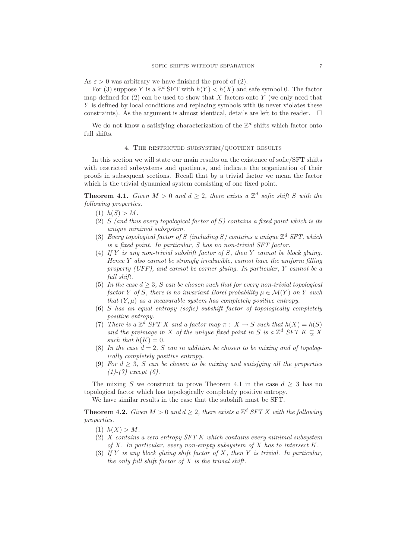As  $\varepsilon > 0$  was arbitrary we have finished the proof of (2).

For (3) suppose Y is a  $\mathbb{Z}^d$  SFT with  $h(Y) < h(X)$  and safe symbol 0. The factor map defined for  $(2)$  can be used to show that X factors onto Y (we only need that Y is defined by local conditions and replacing symbols with 0s never violates these constraints). As the argument is almost identical, details are left to the reader.  $\square$ 

We do not know a satisfying characterization of the  $\mathbb{Z}^d$  shifts which factor onto full shifts.

### 4. The restricted subsystem/quotient results

In this section we will state our main results on the existence of sofic/SFT shifts with restricted subsystems and quotients, and indicate the organization of their proofs in subsequent sections. Recall that by a trivial factor we mean the factor which is the trivial dynamical system consisting of one fixed point.

**Theorem 4.1.** Given  $M > 0$  and  $d \geq 2$ , there exists a  $\mathbb{Z}^d$  sofic shift S with the following properties.

- (1)  $h(S) > M$ .
- (2) S (and thus every topological factor of S) contains a fixed point which is its unique minimal subsystem.
- (3) Every topological factor of S (including S) contains a unique  $\mathbb{Z}^d$  SFT, which is a fixed point. In particular, S has no non-trivial SFT factor.
- (4) If Y is any non-trivial subshift factor of S, then Y cannot be block gluing. Hence Y also cannot be strongly irreducible, cannot have the uniform filling property (UFP), and cannot be corner gluing. In particular, Y cannot be a full shift.
- (5) In the case  $d \geq 3$ , S can be chosen such that for every non-trivial topological factor Y of S, there is no invariant Borel probability  $\mu \in \mathcal{M}(Y)$  on Y such that  $(Y, \mu)$  as a measurable system has completely positive entropy.
- (6) S has an equal entropy (sofic) subshift factor of topologically completely positive entropy.
- (7) There is a  $\mathbb{Z}^d$  SFT X and a factor map  $\pi: X \to S$  such that  $h(X) = h(S)$ and the preimage in X of the unique fixed point in S is a  $\mathbb{Z}^d$  SFT  $K \subsetneq X$ such that  $h(K) = 0$ .
- (8) In the case  $d = 2$ , S can in addition be chosen to be mixing and of topologically completely positive entropy.
- (9) For  $d \geq 3$ , S can be chosen to be mixing and satisfying all the properties  $(1)-(7)$  except  $(6)$ .

The mixing S we construct to prove Theorem 4.1 in the case  $d \geq 3$  has no topological factor which has topologically completely positive entropy.

We have similar results in the case that the subshift must be SFT.

**Theorem 4.2.** Given  $M > 0$  and  $d \geq 2$ , there exists a  $\mathbb{Z}^d$  SFT X with the following properties.

- (1)  $h(X) > M$ .
- (2) X contains a zero entropy SFT K which contains every minimal subsystem of  $X$ . In particular, every non-empty subsystem of  $X$  has to intersect  $K$ .
- (3) If Y is any block gluing shift factor of X, then Y is trivial. In particular, the only full shift factor of  $X$  is the trivial shift.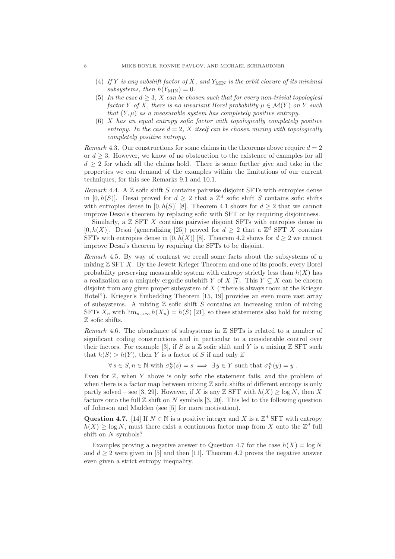#### 8 MIKE BOYLE, RONNIE PAVLOV, AND MICHAEL SCHRAUDNER

- (4) If Y is any subshift factor of X, and  $Y_{\text{MIN}}$  is the orbit closure of its minimal subsystems, then  $h(Y_{\text{MIN}}) = 0$ .
- (5) In the case  $d \geq 3$ , X can be chosen such that for every non-trivial topological factor Y of X, there is no invariant Borel probability  $\mu \in \mathcal{M}(Y)$  on Y such that  $(Y, \mu)$  as a measurable system has completely positive entropy.
- (6) X has an equal entropy sofic factor with topologically completely positive entropy. In the case  $d = 2$ , X itself can be chosen mixing with topologically completely positive entropy.

Remark 4.3. Our constructions for some claims in the theorems above require  $d = 2$ or  $d \geq 3$ . However, we know of no obstruction to the existence of examples for all  $d \geq 2$  for which all the claims hold. There is some further give and take in the properties we can demand of the examples within the limitations of our current techniques; for this see Remarks 9.1 and 10.1.

Remark 4.4. A  $\mathbb Z$  sofic shift  $S$  contains pairwise disjoint SFTs with entropies dense in [0, h(S)]. Desai proved for  $d \geq 2$  that a  $\mathbb{Z}^d$  sofic shift S contains sofic shifts with entropies dense in [0, h(S)] [8]. Theorem 4.1 shows for  $d \geq 2$  that we cannot improve Desai's theorem by replacing sofic with SFT or by requiring disjointness.

Similarly, a  $\mathbb Z$  SFT  $X$  contains pairwise disjoint SFTs with entropies dense in [0, h(X)]. Desai (generalizing [25]) proved for  $d \geq 2$  that a  $\mathbb{Z}^d$  SFT X contains SFTs with entropies dense in [0, h(X)] [8]. Theorem 4.2 shows for  $d \geq 2$  we cannot improve Desai's theorem by requiring the SFTs to be disjoint.

Remark 4.5. By way of contrast we recall some facts about the subsystems of a mixing  $\mathbb Z$  SFT  $X$ . By the Jewett Krieger Theorem and one of its proofs, every Borel probability preserving measurable system with entropy strictly less than  $h(X)$  has a realization as a uniquely ergodic subshift Y of X [7]. This  $Y \subsetneq X$  can be chosen disjoint from any given proper subsystem of  $X$  ("there is always room at the Krieger" Hotel"). Krieger's Embedding Theorem [15, 19] provides an even more vast array of subsystems. A mixing  $Z$  sofic shift S contains an increasing union of mixing SFTs  $X_n$  with  $\lim_{n\to\infty} h(X_n) = h(S)$  [21], so these statements also hold for mixing Z sofic shifts.

Remark 4.6. The abundance of subsystems in  $\mathbb Z$  SFTs is related to a number of significant coding constructions and in particular to a considerable control over their factors. For example [3], if S is a  $\mathbb Z$  sofic shift and Y is a mixing  $\mathbb Z$  SFT such that  $h(S) > h(Y)$ , then Y is a factor of S if and only if

 $\forall s \in S, n \in \mathbb{N}$  with  $\sigma_S^n(s) = s \implies \exists y \in Y$  such that  $\sigma_Y^n(y) = y$ .

Even for  $\mathbb Z$ , when Y above is only sofic the statement fails, and the problem of when there is a factor map between mixing  $\mathbb Z$  sofic shifts of different entropy is only partly solved – see [3, 29]. However, if X is any  $\mathbb Z$  SFT with  $h(X) \ge \log N$ , then X factors onto the full  $\mathbb Z$  shift on N symbols [3, 20]. This led to the following question of Johnson and Madden (see [5] for more motivation).

Question 4.7. [14] If  $N \in \mathbb{N}$  is a positive integer and X is a  $\mathbb{Z}^d$  SFT with entropy  $h(X) \geq \log N$ , must there exist a continuous factor map from X onto the  $\mathbb{Z}^d$  full shift on N symbols?

Examples proving a negative answer to Question 4.7 for the case  $h(X) = \log N$ and  $d \geq 2$  were given in [5] and then [11]. Theorem 4.2 proves the negative answer even given a strict entropy inequality.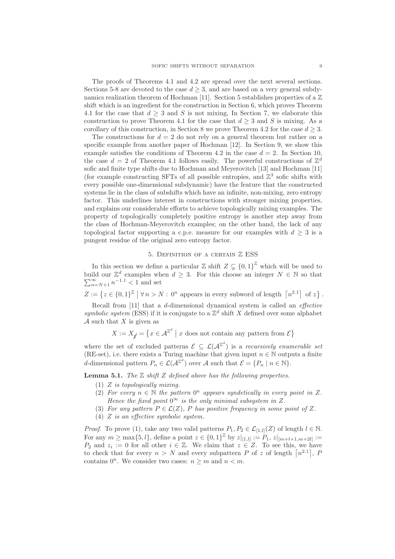The proofs of Theorems 4.1 and 4.2 are spread over the next several sections. Sections 5-8 are devoted to the case  $d \geq 3$ , and are based on a very general subdynamics realization theorem of Hochman [11]. Section 5 establishes properties of a  $\mathbb Z$ shift which is an ingredient for the construction in Section 6, which proves Theorem 4.1 for the case that  $d > 3$  and S is not mixing, In Section 7, we elaborate this construction to prove Theorem 4.1 for the case that  $d \geq 3$  and S is mixing. As a corollary of this construction, in Section 8 we prove Theorem 4.2 for the case  $d \geq 3$ .

The constructions for  $d = 2$  do not rely on a general theorem but rather on a specific example from another paper of Hochman [12]. In Section 9, we show this example satisfies the conditions of Theorem 4.2 in the case  $d = 2$ . In Section 10, the case  $d = 2$  of Theorem 4.1 follows easily. The powerful constructions of  $\mathbb{Z}^d$ sofic and finite type shifts due to Hochman and Meyerovitch [13] and Hochman [11] (for example constructing SFTs of all possible entropies, and  $\mathbb{Z}^3$  sofic shifts with every possible one-dimensional subdynamic) have the feature that the constructed systems lie in the class of subshifts which have an infinite, non-mixing, zero entropy factor. This underlines interest in constructions with stronger mixing properties, and explains our considerable efforts to achieve topologically mixing examples. The property of topologically completely positive entropy is another step away from the class of Hochman-Meyerovitch examples; on the other hand, the lack of any topological factor supporting a c.p.e. measure for our examples with  $d \geq 3$  is a pungent residue of the original zero entropy factor.

### 5. Definition of a certain Z ESS

In this section we define a particular  $\mathbb{Z}$  shift  $Z \subsetneq \{0, 1\}^{\mathbb{Z}}$  which will be used to build our  $\mathbb{Z}^d$ build our  $\mathbb{Z}^d$  examples when  $d \geq 3$ . For this choose an integer  $N \in \mathbb{N}$  so that  $\sum_{n=N+1}^{\infty} n^{-1.1} < 1$  and set

 $Z := \left\{ z \in \{0,1\}^{\mathbb{Z}} \mid \forall n > N : 0^n \text{ appears in every subword of length } \left\lceil n^{2.1} \right\rceil \text{ of } z \right\}.$ 

Recall from [11] that a d-dimensional dynamical system is called an effective symbolic system (ESS) if it is conjugate to a  $\mathbb{Z}^d$  shift X defined over some alphabet A such that  $X$  is given as

$$
X := X_{\underset{\mathcal{L}}{\neq}} = \left\{ x \in \mathcal{A}^{\mathbb{Z}^d} \mid x \text{ does not contain any pattern from } \mathcal{E} \right\}
$$

where the set of excluded patterns  $\mathcal{E} \subseteq \mathcal{L}(\mathcal{A}^{\mathbb{Z}^d})$  is a recursively enumerable set (RE-set), i.e. there exists a Turing machine that given input  $n \in \mathbb{N}$  outputs a finite d-dimensional pattern  $P_n \in \mathcal{L}(\mathcal{A}^{\mathbb{Z}^d})$  over  $\mathcal A$  such that  $\mathcal E = \{P_n \mid n \in \mathbb{N}\}.$ 

**Lemma 5.1.** The  $\mathbb Z$  shift  $Z$  defined above has the following properties.

- (1) Z is topologically mixing.
- (2) For every  $n \in \mathbb{N}$  the pattern  $0^n$  appears syndetically in every point in Z. Hence the fixed point  $0^{\infty}$  is the only minimal subsystem in Z.
- (3) For any pattern  $P \in \mathcal{L}(Z)$ , P has positive frequency in some point of Z.
- (4) Z is an effective symbolic system.

*Proof.* To prove (1), take any two valid patterns  $P_1, P_2 \in \mathcal{L}_{[1,l]}(Z)$  of length  $l \in \mathbb{N}$ . For any  $m \ge \max\{5, l\}$ , define a point  $z \in \{0, 1\}^{\mathbb{Z}}$  by  $z|_{[1, l]} := P_1$ ,  $z|_{[m+l+1, m+2l]} :=$  $P_2$  and  $z_i := 0$  for all other  $i \in \mathbb{Z}$ . We claim that  $z \in Z$ . To see this, we have to check that for every  $n > N$  and every subpattern P of z of length  $\lceil n^{2.1} \rceil$ , P contains  $0^n$ . We consider two cases:  $n \geq m$  and  $n < m$ .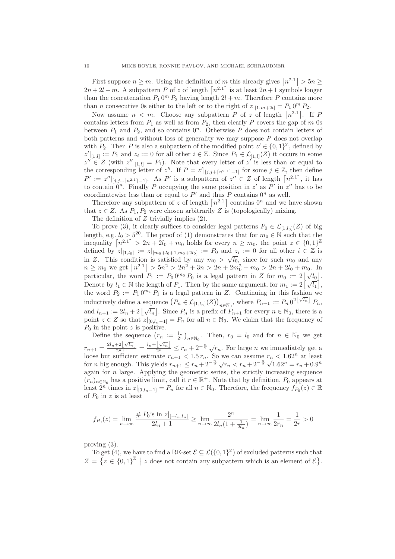First suppose  $n \geq m$ . Using the definition of m this already gives  $\lceil n^{2.1} \rceil > 5n \geq$  $2n + 2l + m$ . A subpattern P of z of length  $\lceil n^{2.1} \rceil$  is at least  $2n + 1$  symbols longer than the concatenation  $P_1 0^m P_2$  having length  $2l + m$ . Therefore P contains more than *n* consecutive 0s either to the left or to the right of  $z|_{[1,m+2l]} = P_1 0^m P_2$ .

Now assume  $n < m$ . Choose any subpattern P of z of length  $\lceil n^{2.1} \rceil$ . If P contains letters from  $P_1$  as well as from  $P_2$ , then clearly P covers the gap of m 0s between  $P_1$  and  $P_2$ , and so contains  $0^n$ . Otherwise P does not contain letters of both patterns and without loss of generality we may suppose  $P$  does not overlap with  $P_2$ . Then P is also a subpattern of the modified point  $z' \in \{0,1\}^{\mathbb{Z}}$ , defined by  $z'_{|[1,l]} := P_1$  and  $z_i := 0$  for all other  $i \in \mathbb{Z}$ . Since  $P_1 \in \mathcal{L}_{[1,l]}(Z)$  it occurs in some  $z'' \in Z$  (with  $z''|_{[1,l]} = P_1$ ). Note that every letter of  $z'$  is less than or equal to the corresponding letter of z''. If  $P = z' |_{[j,j+[n^{2.1}]-1]}$  for some  $j \in \mathbb{Z}$ , then define  $P' := z''|_{[j,j+[n^{2.1}]-1]}$ . As P' is a subpattern of  $z'' \in Z$  of length  $\lceil n^{2.1} \rceil$ , it has to contain  $0^n$ . Finally P occupying the same position in z' as P' in z'' has to be coordinatewise less than or equal to  $P'$  and thus P contains  $0^n$  as well.

Therefore any subpattern of z of length  $\lceil n^{2.1} \rceil$  contains  $0^n$  and we have shown that  $z \in Z$ . As  $P_1, P_2$  were chosen arbitrarily Z is (topologically) mixing.

The definition of  $Z$  trivially implies  $(2)$ .

To prove (3), it clearly suffices to consider legal patterns  $P_0 \in \mathcal{L}_{[1,l_0]}(Z)$  of big length, e.g.  $l_0 > 5^{20}$ . The proof of (1) demonstrates that for  $m_0 \in \mathbb{N}$  such that the inequality  $\lceil n^{2.1} \rceil > 2n + 2l_0 + m_0$  holds for every  $n \geq m_0$ , the point  $z \in \{0, 1\}^{\mathbb{Z}}$ defined by  $z|_{[1,l_0]} := z|_{[m_0+l_0+1,m_0+2l_0]} := P_0$  and  $z_i := 0$  for all other  $i \in \mathbb{Z}$  is in Z. This condition is satisfied by any  $m_0 > \sqrt{l_0}$ , since for such  $m_0$  and any  $n \geq m_0$  we get  $\left\lceil n^{2.1} \right\rceil > 5n^2 > 2n^2 + 3n > 2n + 2m_0^2 + m_0 > 2n + 2l_0 + m_0$ . In particular, the word  $P_1 := P_0 0^{m_0} P_0$  is a legal pattern in Z for  $m_0 := 2 |\sqrt{l_0}|$ . Denote by  $l_1 \in \mathbb{N}$  the length of  $P_1$ . Then by the same argument, for  $m_1 := 2 \left[ \sqrt{l_1} \right]$ , the word  $P_2 := P_1 0^{m_1} P_1$  is a legal pattern in Z. Continuing in this fashion we inductively define a sequence  $(P_n \in \mathcal{L}_{[1,l_n]}(Z))_{n \in \mathbb{N}_0}$ , where  $P_{n+1} := P_n 0^{2\lfloor \sqrt{l_n} \rfloor} P_n$ , and  $l_{n+1} := 2l_n + 2\left[\sqrt{l_n}\right]$ . Since  $P_n$  is a prefix of  $P_{n+1}$  for every  $n \in \mathbb{N}_0$ , there is a point  $z \in Z$  so that  $z|_{[0,l_n-1]} = P_n$  for all  $n \in \mathbb{N}_0$ . We claim that the frequency of  $P_0$  in the point z is positive.

Define the sequence  $(r_n := \frac{l_n}{2^n})_{n \in \mathbb{N}_0}$ . Then,  $r_0 = l_0$  and for  $n \in \mathbb{N}_0$  we get  $r_{n+1} = \frac{2l_n+2\lfloor \sqrt{l_n} \rfloor}{2^{n+1}} = \frac{l_n+\lfloor \sqrt{l_n} \rfloor}{2^n} \leq r_n+2^{-\frac{n}{2}}\sqrt{r_n}$ . For large *n* we immediately get a loose but sufficient estimate  $r_{n+1} < 1.5 r_n$ . So we can assume  $r_n < 1.62^n$  at least for *n* big enough. This yields  $r_{n+1} \leq r_n + 2^{-\frac{n}{2}} \sqrt{r_n} < r_n + 2^{-\frac{n}{2}} \sqrt{1.62^n} = r_n + 0.9^n$ again for  $n$  large. Applying the geometric series, the strictly increasing sequence  $(r_n)_{n\in\mathbb{N}_0}$  has a positive limit, call it  $r \in \mathbb{R}^+$ . Note that by definition,  $P_0$  appears at least  $2^n$  times in  $z|_{[0,l_n-1]} = P_n$  for all  $n \in \mathbb{N}_0$ . Therefore, the frequency  $f_{P_0}(z) \in \mathbb{R}$ of  $P_0$  in z is at least

$$
f_{P_0}(z) = \lim_{n \to \infty} \frac{\# P_0 \text{'s in } z|_{[-l_n, l_n]}}{2l_n + 1} \ge \lim_{n \to \infty} \frac{2^n}{2l_n(1 + \frac{1}{2l_n})} = \lim_{n \to \infty} \frac{1}{2r_n} = \frac{1}{2r} > 0
$$

proving (3).

To get (4), we have to find a RE-set  $\mathcal{E} \subseteq \mathcal{L}(\{0,1\}^{\mathbb{Z}})$  of excluded patterns such that  $Z = \{z \in \{0,1\}^{\mathbb{Z}} \mid z \text{ does not contain any subpattern which is an element of } \mathcal{E}\}.$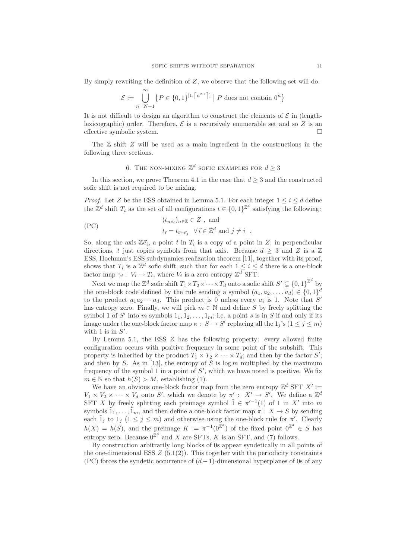By simply rewriting the definition of Z, we observe that the following set will do.

$$
\mathcal{E} := \bigcup_{n=N+1}^{\infty} \left\{ P \in \{0,1\}^{[1,\lceil n^{2.1} \rceil]}\; \middle| \; P \text{ does not contain } 0^n \right\}
$$

It is not difficult to design an algorithm to construct the elements of  $\mathcal E$  in (lengthlexicographic) order. Therefore,  $\mathcal E$  is a recursively enumerable set and so  $Z$  is an effective symbolic system effective symbolic system.

The  $\mathbb Z$  shift  $Z$  will be used as a main ingredient in the constructions in the following three sections.

# 6. THE NON-MIXING  $\mathbb{Z}^d$  sofic examples for  $d \geq 3$

In this section, we prove Theorem 4.1 in the case that  $d \geq 3$  and the constructed sofic shift is not required to be mixing.

*Proof.* Let Z be the ESS obtained in Lemma 5.1. For each integer  $1 \leq i \leq d$  define the  $\mathbb{Z}^d$  shift  $T_i$  as the set of all configurations  $t \in \{0,1\}^{\mathbb{Z}^d}$  satisfying the following:

(PC) 
$$
(t_{n\vec{e}_i})_{n\in\mathbb{Z}} \in Z, \text{ and}
$$

$$
t_{\vec{i}} = t_{\vec{i}+\vec{e}_j} \quad \forall \vec{i} \in \mathbb{Z}^d \text{ and } j \neq i.
$$

So, along the axis  $\mathbb{Z}\vec{e}_i$ , a point t in  $T_i$  is a copy of a point in Z; in perpendicular directions, t just copies symbols from that axis. Because  $d \geq 3$  and Z is a Z ESS, Hochman's ESS subdynamics realization theorem [11], together with its proof, shows that  $T_i$  is a  $\mathbb{Z}^d$  sofic shift, such that for each  $1 \leq i \leq d$  there is a one-block factor map  $\gamma_i: V_i \to T_i$ , where  $V_i$  is a zero entropy  $\mathbb{Z}^d$  SFT.

Next we map the  $\mathbb{Z}^d$  sofic shift  $T_1 \times T_2 \times \cdots \times T_d$  onto a sofic shift  $S' \subsetneq \{0,1\}^{\mathbb{Z}^d}$  by the one-block code defined by the rule sending a symbol  $(a_1, a_2, ..., a_d) \in \{0, 1\}^d$ to the product  $a_1 a_2 \cdots a_d$ . This product is 0 unless every  $a_i$  is 1. Note that S' has entropy zero. Finally, we will pick  $m \in \mathbb{N}$  and define S by freely splitting the symbol 1 of S' into m symbols  $1_1, 1_2, \ldots, 1_m$ ; i.e. a point s is in S if and only if its image under the one-block factor map  $\kappa: S \to S'$  replacing all the  $1_j$ 's  $(1 \le j \le m)$ with 1 is in  $S'$ .

By Lemma 5.1, the ESS Z has the following property: every allowed finite configuration occurs with positive frequency in some point of the subshift. This property is inherited by the product  $T_1 \times T_2 \times \cdots \times T_d$ ; and then by the factor S'; and then by S. As in [13], the entropy of S is  $\log m$  multiplied by the maximum frequency of the symbol 1 in a point of  $S'$ , which we have noted is positive. We fix  $m \in \mathbb{N}$  so that  $h(S) > M$ , establishing (1).

We have an obvious one-block factor map from the zero entropy  $\mathbb{Z}^d$  SFT  $X' :=$  $V_1 \times V_2 \times \cdots \times V_d$  onto S', which we denote by  $\pi' : X' \to S'$ . We define a  $\mathbb{Z}^d$ SFT X by freely splitting each preimage symbol  $\tilde{1} \in \pi'^{-1}(1)$  of 1 in X' into m symbols  $\tilde{1}_1,\ldots,\tilde{1}_m$ , and then define a one-block factor map  $\pi: X \to S$  by sending each  $\tilde{1}_j$  to  $1_j$  ( $1 \leq j \leq m$ ) and otherwise using the one-block rule for  $\pi'$ . Clearly  $h(X) = h(S)$ , and the preimage  $K := \pi^{-1}(0^{\mathbb{Z}^d})$  of the fixed point  $0^{\mathbb{Z}^d} \in S$  has entropy zero. Because  $0^{\mathbb{Z}^d}$  and X are SFTs, K is an SFT, and (7) follows.

By construction arbitrarily long blocks of 0s appear syndetically in all points of the one-dimensional ESS  $Z(5.1(2))$ . This together with the periodicity constraints (PC) forces the syndetic occurrence of  $(d-1)$ -dimensional hyperplanes of 0s of any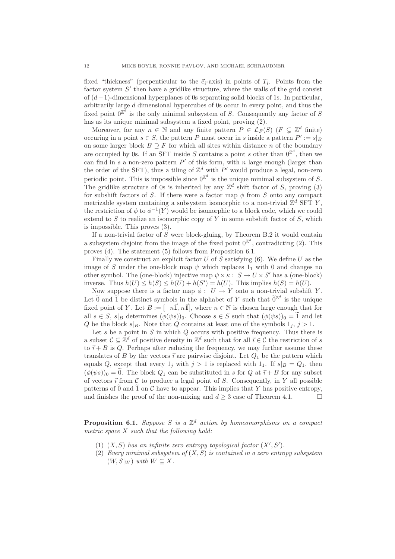fixed "thickness" (perpenticular to the  $\vec{e}_i$ -axis) in points of  $T_i$ . Points from the factor system S' then have a gridlike structure, where the walls of the grid consist of  $(d-1)$ -dimensional hyperplanes of 0s separating solid blocks of 1s. In particular, arbitrarily large d dimensional hypercubes of 0s occur in every point, and thus the fixed point  $0^{\mathbb{Z}^d}$  is the only minimal subsystem of S. Consequently any factor of S has as its unique minimal subsystem a fixed point, proving (2).

Moreover, for any  $n \in \mathbb{N}$  and any finite pattern  $P \in \mathcal{L}_F(S)$  ( $F \subseteq \mathbb{Z}^d$  finite) occuring in a point  $s \in S$ , the pattern P must occur in s inside a pattern  $P' := s|_B$ on some larger block  $B \supseteq F$  for which all sites within distance n of the boundary are occupied by 0s. If an SFT inside S contains a point s other than  $0^{\mathbb{Z}^d}$ , then we can find in s a non-zero pattern  $P'$  of this form, with n large enough (larger than the order of the SFT), thus a tiling of  $\mathbb{Z}^d$  with P' would produce a legal, non-zero periodic point. This is impossible since  $0^{\mathbb{Z}^d}$  is the unique minimal subsystem of S. The gridlike structure of 0s is inherited by any  $\mathbb{Z}^d$  shift factor of S, proving (3) for subshift factors of S. If there were a factor map  $\phi$  from S onto any compact metrizable system containing a subsystem isomorphic to a non-trivial  $\mathbb{Z}^d$  SFT Y, the restriction of  $\phi$  to  $\phi^{-1}(Y)$  would be isomorphic to a block code, which we could extend to  $S$  to realize an isomorphic copy of  $Y$  in some subshift factor of  $S$ , which is impossible. This proves (3).

If a non-trivial factor of  $S$  were block-gluing, by Theorem B.2 it would contain a subsystem disjoint from the image of the fixed point  $0^{\mathbb{Z}^d}$ , contradicting (2). This proves (4). The statement (5) follows from Proposition 6.1.

Finally we construct an explicit factor U of S satisfying  $(6)$ . We define U as the image of S under the one-block map  $\psi$  which replaces  $1<sub>1</sub>$  with 0 and changes no other symbol. The (one-block) injective map  $\psi \times \kappa : S \to U \times S'$  has a (one-block) inverse. Thus  $h(U) \leq h(S) \leq h(U) + h(S') = h(U)$ . This implies  $h(S) = h(U)$ .

Now suppose there is a factor map  $\phi: U \to Y$  onto a non-trivial subshift Y. Let  $\widetilde{0}$  and  $\widetilde{1}$  be distinct symbols in the alphabet of Y such that  $\widetilde{0}^{\mathbb{Z}^d}$  is the unique fixed point of Y. Let  $B := [-n\vec{\mathbb{1}}, n\vec{\mathbb{1}}]$ , where  $n \in \mathbb{N}$  is chosen large enough that for all  $s \in S$ ,  $s|_B$  determines  $(\phi(\psi s))_0$ . Choose  $s \in S$  such that  $(\phi(\psi s))_0 = \tilde{1}$  and let Q be the block  $s|_B$ . Note that Q contains at least one of the symbols  $1_i, j > 1$ .

Let  $s$  be a point in  $S$  in which  $Q$  occurs with positive frequency. Thus there is a subset  $C \subseteq \mathbb{Z}^d$  of positive density in  $\mathbb{Z}^d$  such that for all  $\vec{i} \in C$  the restriction of s to  $\vec{i} + B$  is Q. Perhaps after reducing the frequency, we may further assume these translates of B by the vectors  $\vec{i}$  are pairwise disjoint. Let  $Q_1$  be the pattern which equals Q, except that every  $1_j$  with  $j > 1$  is replaced with  $1_1$ . If  $s|_B = Q_1$ , then  $(\phi(\psi s))_0 = 0$ . The block  $Q_1$  can be substituted in s for  $Q$  at  $\vec{i} + B$  for any subset of vectors  $\vec{i}$  from  $\mathcal C$  to produce a legal point of S. Consequently, in Y all possible patterns of  $\tilde{0}$  and  $\tilde{1}$  on  $\mathcal{C}$  have to appear. This implies that Y has positive entropy, and finishes the proof of the non-mixing and  $d > 3$  case of Theorem 4.1 and finishes the proof of the non-mixing and  $d \geq 3$  case of Theorem 4.1.

**Proposition 6.1.** Suppose S is a  $\mathbb{Z}^d$  action by homeomorphisms on a compact metric space  $X$  such that the following hold:

- (1)  $(X, S)$  has an infinite zero entropy topological factor  $(X', S')$ .
- (2) Every minimal subsystem of  $(X, S)$  is contained in a zero entropy subsystem  $(W, S|_W)$  with  $W \subseteq X$ .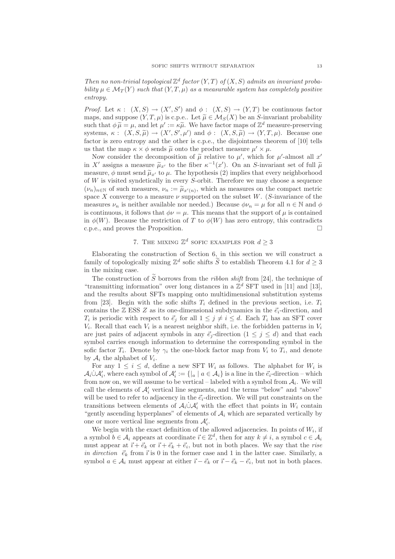Then no non-trivial topological  $\mathbb{Z}^d$  factor  $(Y,T)$  of  $(X,S)$  admits an invariant probability  $\mu \in \mathcal{M}_T(Y)$  such that  $(Y, T, \mu)$  as a measurable system has completely positive entropy.

*Proof.* Let  $\kappa : (X, S) \to (X', S')$  and  $\phi : (X, S) \to (Y, T)$  be continuous factor maps, and suppose  $(Y, T, \mu)$  is c.p.e.. Let  $\widetilde{\mu} \in \mathcal{M}_S(X)$  be an S-invariant probability such that  $\phi \widetilde{\mu} = \mu$ , and let  $\mu' := \kappa \widetilde{\mu}$ . We have factor maps of  $\mathbb{Z}^d$  measure-preserving systems,  $\kappa: (X, S, \tilde{\mu}) \to (X', S', \mu')$  and  $\phi: (X, S, \tilde{\mu}) \to (Y, T, \mu)$ . Because one factor is zero entropy and the other is c.p.e., the disjointness theorem of [10] tells us that the map  $\kappa \times \phi$  sends  $\tilde{\mu}$  onto the product measure  $\mu' \times \mu$ .

Now consider the decomposition of  $\tilde{\mu}$  relative to  $\mu'$ , which for  $\mu'$ -almost all  $x'$ in X' assigns a measure  $\tilde{\mu}_{x'}$  to the fiber  $\kappa^{-1}(x')$ . On an S-invariant set of full  $\tilde{\mu}$ measure,  $\phi$  must send  $\tilde{\mu}_{x'}$  to  $\mu$ . The hypothesis (2) implies that every neighborhood of  $W$  is visited syndetically in every  $S$ -orbit. Therefore we may choose a sequence  $(\nu_n)_{n \in \mathbb{N}}$  of such measures,  $\nu_n := \tilde{\mu}_{x'(n)}$ , which as measures on the compact metric space X converge to a measure  $\nu$  supported on the subset W. (S-invariance of the measures  $\nu_n$  is neither available nor needed.) Because  $\phi \nu_n = \mu$  for all  $n \in \mathbb{N}$  and  $\phi$ is continuous, it follows that  $\phi \nu = \mu$ . This means that the support of  $\mu$  is contained in  $\phi(W)$ . Because the restriction of T to  $\phi(W)$  has zero entropy, this contradicts c.p.e., and proves the Proposition.

# 7. THE MIXING  $\mathbb{Z}^d$  sofic examples for  $d \geq 3$

Elaborating the construction of Section 6, in this section we will construct a family of topologically mixing  $\mathbb{Z}^d$  sofic shifts  $\widetilde{S}$  to establish Theorem 4.1 for  $d \geq 3$ in the mixing case.

The construction of  $\tilde{S}$  borrows from the *ribbon shift* from [24], the technique of "transmitting information" over long distances in a  $\mathbb{Z}^d$  SFT used in [11] and [13], and the results about SFTs mapping onto multidimensional substitution systems from [23]. Begin with the sofic shifts  $T_i$  defined in the previous section, i.e.  $T_i$ contains the  $\mathbb{Z}$  ESS Z as its one-dimensional subdynamics in the  $\vec{e}_i$ -direction, and  $T_i$  is periodic with respect to  $\vec{e}_j$  for all  $1 \leq j \neq i \leq d$ . Each  $T_i$  has an SFT cover  $V_i$ . Recall that each  $V_i$  is a nearest neighbor shift, i.e. the forbidden patterns in  $V_i$ are just pairs of adjacent symbols in any  $\vec{e}_j$ -direction  $(1 \leq j \leq d)$  and that each symbol carries enough information to determine the corresponding symbol in the sofic factor  $T_i$ . Denote by  $\gamma_i$  the one-block factor map from  $V_i$  to  $T_i$ , and denote by  $A_i$  the alphabet of  $V_i$ .

For any  $1 \leq i \leq d$ , define a new SFT  $W_i$  as follows. The alphabet for  $W_i$  is  $\mathcal{A}_i \cup \mathcal{A}'_i$ , where each symbol of  $\mathcal{A}'_i := \{ |a \mid a \in \mathcal{A}_i \}$  is a line in the  $\vec{e}_i$ -direction – which from now on, we will assume to be vertical – labeled with a symbol from  $A_i$ . We will call the elements of  $A'_i$  vertical line segments, and the terms "below" and "above" will be used to refer to adjacency in the  $\vec{e}_i$ -direction. We will put constraints on the transitions between elements of  $A_i \dot{\cup} A'_i$  with the effect that points in  $W_i$  contain "gently ascending hyperplanes" of elements of  $A_i$  which are separated vertically by one or more vertical line segments from  $\mathcal{A}'_i$ .

We begin with the exact definition of the allowed adjacencies. In points of  $W_i$ , if a symbol  $b \in \mathcal{A}_i$  appears at coordinate  $\vec{i} \in \mathbb{Z}^d$ , then for any  $k \neq i$ , a symbol  $c \in \mathcal{A}_i$ must appear at  $\vec{i} + \vec{e}_k$  or  $\vec{i} + \vec{e}_k + \vec{e}_i$ , but not in both places. We say that the *rise* in direction  $\vec{e}_k$  from  $\vec{i}$  is 0 in the former case and 1 in the latter case. Similarly, a symbol  $a \in A_i$  must appear at either  $\vec{i} - \vec{e}_k$  or  $\vec{i} - \vec{e}_k - \vec{e}_i$ , but not in both places.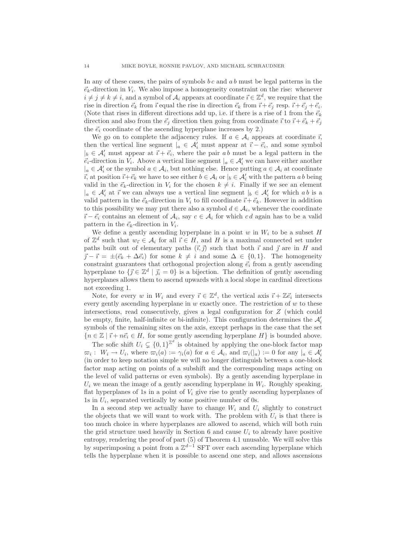In any of these cases, the pairs of symbols  $bc$  and  $ab$  must be legal patterns in the  $\vec{e}_k$ -direction in  $V_i$ . We also impose a homogeneity constraint on the rise: whenever  $i \neq j \neq k \neq i$ , and a symbol of  $A_i$  appears at coordinate  $\vec{i} \in \mathbb{Z}^d$ , we require that the rise in direction  $\vec{e}_k$  from  $\vec{i}$  equal the rise in direction  $\vec{e}_k$  from  $\vec{i} + \vec{e}_j$  resp.  $\vec{i} + \vec{e}_j + \vec{e}_i$ . (Note that rises in different directions add up, i.e. if there is a rise of 1 from the  $\vec{e}_k$ direction and also from the  $\vec{e}_i$  direction then going from coordinate  $\vec{i}$  to  $\vec{i} + \vec{e}_k + \vec{e}_i$ the  $\vec{e}_i$  coordinate of the ascending hyperplane increases by 2.)

We go on to complete the adjacency rules. If  $a \in A_i$  appears at coordinate  $\vec{i}$ , then the vertical line segment  $|_a \in \mathcal{A}'_i$  must appear at  $\vec{i} - \vec{e}_i$ , and some symbol  $|_b \in \mathcal{A}'_i$  must appear at  $\vec{i} + \vec{e}_i$ , where the pair ab must be a legal pattern in the  $\vec{e}_i$ -direction in  $V_i$ . Above a vertical line segment  $|a \in \mathcal{A}'_i$  we can have either another  $|a \in \mathcal{A}'_i$  or the symbol  $a \in \mathcal{A}_i$ , but nothing else. Hence putting  $a \in \mathcal{A}_i$  at coordinate  $\vec{i}$ , at position  $\vec{i} + \vec{e}_k$  we have to see either  $b \in \mathcal{A}_i$  or  $|b \in \mathcal{A}'_i$  with the pattern ab being valid in the  $\vec{e}_k$ -direction in  $V_i$  for the chosen  $k \neq i$ . Finally if we see an element  $|a \rangle = \mathcal{A}'_i$  at  $\vec{i}$  we can always use a vertical line segment  $|b \rangle \in \mathcal{A}'_i$  for which ab is a valid pattern in the  $\vec{e}_k$ -direction in  $V_i$  to fill coordinate  $\vec{i} + \vec{e}_k$ . However in addition to this possibility we may put there also a symbol  $d \in \mathcal{A}_i$ , whenever the coordinate  $\vec{i} - \vec{e}_i$  contains an element of  $A_i$ , say  $c \in A_i$  for which cd again has to be a valid pattern in the  $\vec{e}_k$ -direction in  $V_i$ .

We define a gently ascending hyperplane in a point w in  $W_i$  to be a subset H of  $\mathbb{Z}^d$  such that  $w_{\vec{i}} \in \mathcal{A}_i$  for all  $\vec{i} \in H$ , and H is a maximal connected set under paths built out of elementary paths  $(\vec{i}, \vec{j})$  such that both  $\vec{i}$  and  $\vec{j}$  are in H and  $\vec{j} - \vec{i} = \pm (\vec{e}_k + \Delta \vec{e}_i)$  for some  $k \neq i$  and some  $\Delta \in \{0, 1\}$ . The homogeneity constraint guarantees that orthogonal projection along  $\vec{e}_i$  from a gently ascending hyperplane to  $\{\vec{j} \in \mathbb{Z}^d \mid \vec{j_i} = 0\}$  is a bijection. The definition of gently ascending hyperplanes allows them to ascend upwards with a local slope in cardinal directions not exceeding 1.

Note, for every w in  $W_i$  and every  $\vec{i} \in \mathbb{Z}^d$ , the vertical axis  $\vec{i} + \mathbb{Z}\vec{e}_i$  intersects every gently ascending hyperplane in  $w$  exactly once. The restriction of  $w$  to these intersections, read consecutively, gives a legal configuration for Z (which could be empty, finite, half-infinite or bi-infinite). This configuration determines the  $\mathcal{A}'_i$ symbols of the remaining sites on the axis, except perhaps in the case that the set  ${n \in \mathbb{Z} \mid \vec{i} + n\vec{e}_i \in H}$ , for some gently ascending hyperplane  $H}$  is bounded above.

The sofic shift  $U_i \subsetneq \{0, 1\}^{\mathbb{Z}^d}$  is obtained by applying the one-block factor map  $\overline{\omega}_i: W_i \to U_i$ , where  $\overline{\omega}_i(a) := \gamma_i(a)$  for  $a \in \mathcal{A}_i$ , and  $\overline{\omega}_i(|_a) := 0$  for any  $|_a \in \mathcal{A}'_i$ (in order to keep notation simple we will no longer distinguish between a one-block factor map acting on points of a subshift and the corresponding maps acting on the level of valid patterns or even symbols). By a gently ascending hyperplane in  $U_i$  we mean the image of a gently ascending hyperplane in  $W_i$ . Roughly speaking, flat hyperplanes of 1s in a point of  $V_i$  give rise to gently ascending hyperplanes of 1s in  $U_i$ , separated vertically by some positive number of 0s.

In a second step we actually have to change  $W_i$  and  $U_i$  slightly to construct the objects that we will want to work with. The problem with  $U_i$  is that there is too much choice in where hyperplanes are allowed to ascend, which will both ruin the grid structure used heavily in Section 6 and cause  $U_i$  to already have positive entropy, rendering the proof of part (5) of Theorem 4.1 unusable. We will solve this by superimposing a point from a  $\mathbb{Z}^{d-1}$  SFT over each ascending hyperplane which tells the hyperplane when it is possible to ascend one step, and allows ascensions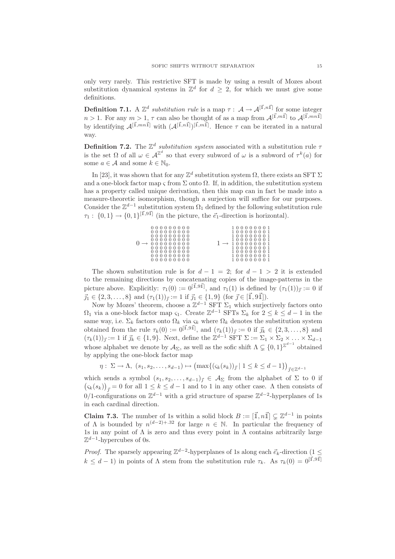only very rarely. This restrictive SFT is made by using a result of Mozes about substitution dynamical systems in  $\mathbb{Z}^d$  for  $d \geq 2$ , for which we must give some definitions.

**Definition 7.1.** A  $\mathbb{Z}^d$  substitution rule is a map  $\tau : A \to \mathcal{A}^{[\vec{1}, n\vec{1}]}$  for some integer  $n > 1$ . For any  $m > 1$ ,  $\tau$  can also be thought of as a map from  $\mathcal{A}^{[\vec{1},m\vec{1}]}$  to  $\mathcal{A}^{[\vec{1},mn\vec{1}]}$ by identifying  $\mathcal{A}^{[\vec{1},mn\vec{1}]}$  with  $(\mathcal{A}^{[\vec{1},n\vec{1}]})^{[\vec{1},m\vec{1}]}$ . Hence  $\tau$  can be iterated in a natural way.

**Definition 7.2.** The  $\mathbb{Z}^d$  substitution system associated with a substitution rule  $\tau$ is the set  $\Omega$  of all  $\omega \in A^{\mathbb{Z}^d}$  so that every subword of  $\omega$  is a subword of  $\tau^k(a)$  for some  $a \in \mathcal{A}$  and some  $k \in \mathbb{N}_0$ .

In [23], it was shown that for any  $\mathbb{Z}^d$  substitution system  $\Omega$ , there exists an SFT  $\Sigma$ and a one-block factor map  $\varsigma$  from  $\Sigma$  onto  $\Omega$ . If, in addition, the substitution system has a property called unique derivation, then this map can in fact be made into a measure-theoretic isomorphism, though a surjection will suffice for our purposes. Consider the  $\mathbb{Z}^{d-1}$  substitution system  $\Omega_1$  defined by the following substitution rule  $\tau_1: \{0,1\} \to \{0,1\}^{[\vec{1},9\vec{1}]}$  (in the picture, the  $\vec{e}_1$ -direction is horizontal).

| 000000000  | 0000001   |
|------------|-----------|
| 0000000000 | 100000001 |
| 0000000000 | 100000001 |
| 0000000000 | 100000001 |
| 0000000000 | 100000001 |
| 0000000000 | 100000001 |
| 000000000  | 100000001 |
| 0000000000 | 100000001 |
| 000000000  | 100000001 |

The shown substitution rule is for  $d-1 = 2$ ; for  $d-1 > 2$  it is extended to the remaining directions by concatenating copies of the image-patterns in the picture above. Explicitly:  $\tau_1(0) := 0^{[\vec{1},9\vec{1}]}$ , and  $\tau_1(1)$  is defined by  $(\tau_1(1))_{\vec{j}} := 0$  if  $\vec{j}_1 \in \{2, 3, \ldots, 8\}$  and  $(\tau_1(1))_{\vec{i}} := 1$  if  $\vec{j}_1 \in \{1, 9\}$  (for  $\vec{j} \in [\vec{1}, 9\vec{1}]).$ 

Now by Mozes' theorem, choose a  $\mathbb{Z}^{d-1}$  SFT  $\Sigma_1$  which surjectively factors onto  $\Omega_1$  via a one-block factor map  $\zeta_1$ . Create  $\mathbb{Z}^{d-1}$  SFTs  $\Sigma_k$  for  $2 \leq k \leq d-1$  in the same way, i.e.  $\Sigma_k$  factors onto  $\Omega_k$  via  $\varsigma_k$  where  $\Omega_k$  denotes the substitution system obtained from the rule  $\tau_k(0) := 0^{[\vec{1},9\vec{1}]}$ , and  $(\tau_k(1))_{\vec{j}} := 0$  if  $\vec{j}_k \in \{2, 3, ..., 8\}$  and  $(\tau_k(1))_{\vec{j}} := 1$  if  $\vec{j}_k \in \{1, 9\}$ . Next, define the  $\mathbb{Z}^{d-1}$  SFT  $\Sigma := \Sigma_1 \times \Sigma_2 \times \ldots \times \Sigma_{d-1}$ whose alphabet we denote by  $\mathcal{A}_{\Sigma}$ , as well as the sofic shift  $\Lambda \subsetneq \{0, 1\}^{\mathbb{Z}^{d-1}}$  obtained by applying the one-block factor map

$$
\eta: \ \Sigma \to \Lambda, \ (s_1, s_2, \dots, s_{d-1}) \mapsto (\max\{(\varsigma_k(s_k))_{\vec{\jmath}} \mid 1 \leq k \leq d-1\})_{\vec{\jmath} \in \mathbb{Z}^{d-1}}
$$

which sends a symbol  $(s_1, s_2, \ldots, s_{d-1})_{\vec{j}} \in A_{\Sigma}$  from the alphabet of  $\Sigma$  to 0 if  $(\varsigma_k(s_k))_{\vec{j}} = 0$  for all  $1 \leq k \leq d-1$  and to 1 in any other case. A then consists of 0/1-configurations on  $\mathbb{Z}^{d-1}$  with a grid structure of sparse  $\mathbb{Z}^{d-2}$ -hyperplanes of 1s in each cardinal direction.

**Claim 7.3.** The number of 1s within a solid block  $B := [\vec{\mathbb{I}}, n\vec{\mathbb{I}}] \subsetneq \mathbb{Z}^{d-1}$  in points of  $\Lambda$  is bounded by  $n^{(d-2)+32}$  for large  $n \in \mathbb{N}$ . In particular the frequency of 1s in any point of  $\Lambda$  is zero and thus every point in  $\Lambda$  contains arbitrarily large  $\mathbb{Z}^{d-1}$ -hypercubes of 0s.

*Proof.* The sparsely appearing  $\mathbb{Z}^{d-2}$ -hyperplanes of 1s along each  $\vec{e}_k$ -direction  $(1 \leq$  $k \leq d-1$ ) in points of  $\Lambda$  stem from the substitution rule  $\tau_k$ . As  $\tau_k(0) = 0^{[\vec{1},9\vec{1}]}$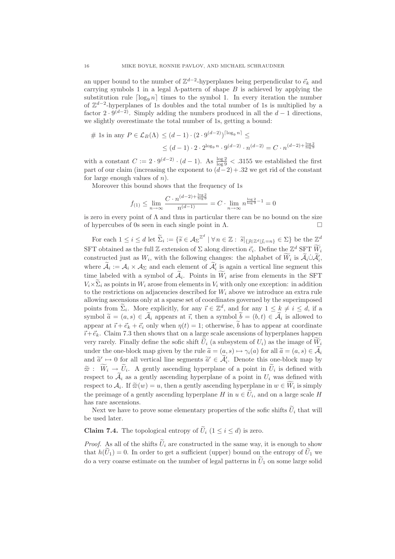an upper bound to the number of  $\mathbb{Z}^{d-2}$ -hyperplanes being perpendicular to  $\vec{e}_k$  and carrying symbols 1 in a legal  $\Lambda$ -pattern of shape  $B$  is achieved by applying the substitution rule  $\lceil \log_9 n \rceil$  times to the symbol 1. In every iteration the number of  $\mathbb{Z}^{d-2}$ -hyperplanes of 1s doubles and the total number of 1s is multiplied by a factor  $2 \cdot 9^{(d-2)}$ . Simply adding the numbers produced in all the  $d-1$  directions, we slightly overestimate the total number of 1s, getting a bound:

$$
\# \text{ 1s in any } P \in \mathcal{L}_B(\Lambda) \le (d-1) \cdot (2 \cdot 9^{(d-2)})^{\lceil \log_9 n \rceil} \le
$$
  

$$
\le (d-1) \cdot 2 \cdot 2^{\log_9 n} \cdot 9^{(d-2)} \cdot n^{(d-2)} = C \cdot n^{(d-2) + \frac{\log 2}{\log 9}}
$$

with a constant  $C := 2 \cdot 9^{(d-2)} \cdot (d-1)$ . As  $\frac{\log 2}{\log 9} < .3155$  we established the first part of our claim (increasing the exponent to  $(d-2)+32$  we get rid of the constant for large enough values of  $n$ ).

Moreover this bound shows that the frequency of 1s

$$
f_{(1)} \le \lim_{n \to \infty} \frac{C \cdot n^{(d-2) + \frac{\log 2}{\log 9}}}{n^{(d-1)}} = C \cdot \lim_{n \to \infty} n^{\frac{\log 2}{\log 9} - 1} = 0
$$

is zero in every point of  $\Lambda$  and thus in particular there can be no bound on the size of hypercubes of 0s seen in each single point in  $\Lambda$ .

For each  $1 \leq i \leq d$  let  $\widetilde{\Sigma}_i := \{ \widetilde{s} \in {\mathcal{A}_{\Sigma}}^{\mathbb{Z}^d} \mid \forall n \in \mathbb{Z} : \widetilde{s} \vert_{\{ \vec{\jmath} \in \mathbb{Z}^d \mid \vec{\jmath}_i = n \}} \in \Sigma \}$  be the  $\mathbb{Z}^d$ SFT obtained as the full Z extension of  $\Sigma$  along direction  $\vec{e}_i$ . Define the  $\mathbb{Z}^d$  SFT  $W_i$ constructed just as  $W_i$ , with the following changes: the alphabet of  $\overline{W}_i$  is  $\overline{\mathcal{A}}_i \cup \overline{\mathcal{A}}'_i$ , where  $A_i := A_i \times A_{\Sigma}$  and each element of  $A'_i$  is again a vertical line segment this time labeled with a symbol of  $A_i$ . Points in  $W_i$  arise from elements in the SFT  $V_i\times \tilde{\Sigma}_i$  as points in  $W_i$  arose from elements in  $V_i$  with only one exception: in addition to the restrictions on adjacencies described for  $W_i$  above we introduce an extra rule allowing ascensions only at a sparse set of coordinates governed by the superimposed points from  $\tilde{\Sigma}_i$ . More explicitly, for any  $\vec{\imath} \in \mathbb{Z}^d$ , and for any  $1 \leq \underline{k} \neq i \leq d$ , if a symbol  $\widetilde{a} = (a, s) \in \mathcal{A}_i$  appears at  $\vec{i}$ , then a symbol  $b = (b, t) \in \mathcal{A}_i$  is allowed to appear at  $\vec{i} + \vec{e}_k + \vec{e}_i$  only when  $\eta(t) = 1$ ; otherwise,  $\tilde{b}$  has to appear at coordinate  $\vec{i}+\vec{e}_k$ . Claim 7.3 then shows that on a large scale ascensions of hyperplanes happen very rarely. Finally define the sofic shift  $U_i$  (a subsystem of  $U_i$ ) as the image of  $W_i$ under the one-block map given by the rule  $\tilde{a} = (a, s) \mapsto \gamma_i(a)$  for all  $\tilde{a} = (a, s) \in \tilde{\mathcal{A}}_i$ and  $\tilde{a}' \mapsto 0$  for all vertical line segments  $\tilde{a}' \in A'_i$ . Denote this one-block map by  $\widetilde{\varpi}$  :  $W_i \rightarrow U_i$ . A gently ascending hyperplane of a point in  $U_i$  is defined with respect to  $A_i$  as a gently ascending hyperplane of a point in  $U_i$  was defined with respect to  $A_i$ . If  $\tilde{\varpi}(w) = u$ , then a gently ascending hyperplane in  $w \in W_i$  is simply the preimage of a gently ascending hyperplane  $H$  in  $u \in U_i$ , and on a large scale  $H$ has rare ascensions.

Next we have to prove some elementary properties of the sofic shifts  $\widetilde{U}_i$  that will be used later.

**Claim 7.4.** The topological entropy of  $\widetilde{U}_i$  ( $1 \leq i \leq d$ ) is zero.

*Proof.* As all of the shifts  $\tilde{U}_i$  are constructed in the same way, it is enough to show that  $h(\tilde{U}_1) = 0$ . In order to get a sufficient (upper) bound on the entropy of  $\tilde{U}_1$  we do a very coarse estimate on the number of legal patterns in  $U_1$  on some large solid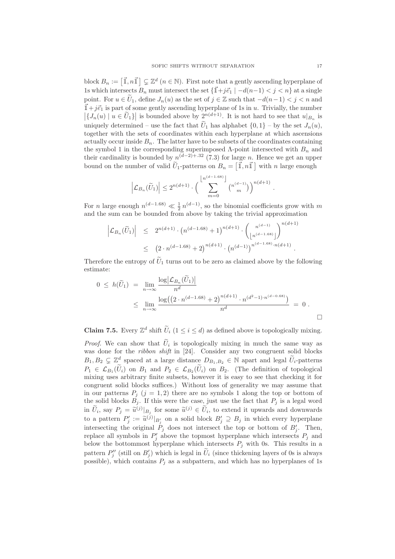block  $B_n := [\vec{\mathbb{1}}, n \vec{\mathbb{1}}] \subsetneq \mathbb{Z}^d$   $(n \in \mathbb{N})$ . First note that a gently ascending hyperplane of 1s which intersects  $B_n$  must intersect the set  $\{\vec{1}+j\vec{e}_1 \mid -d(n-1) < j < n\}$  at a single point. For  $u \in U_1$ , define  $J_n(u)$  as the set of  $j \in \mathbb{Z}$  such that  $-d(n-1) < j < n$  and  $\vec{1}+j\vec{e}_1$  is part of some gently ascending hyperplane of 1s in u. Trivially, the number  $|\{J_n(u) \mid u \in \tilde{U}_1\}|$  is bounded above by  $2^{n(d+1)}$ . It is not hard to see that  $u|_{B_n}$  is uniquely determined – use the fact that  $\tilde{U}_1$  has alphabet  $\{0,1\}$  – by the set  $J_n(u)$ , together with the sets of coordinates within each hyperplane at which ascensions actually occur inside  $B_n$ . The latter have to be subsets of the coordinates containing the symbol 1 in the corresponding superimposed  $\Lambda$ -point intersected with  $B_n$  and their cardinality is bounded by  $n^{(d-2)+32}$  (7.3) for large n. Hence we get an upper bound on the number of valid  $\tilde{U}_1$ -patterns on  $B_n = \left[\vec{\mathbb{1}}, n\vec{\mathbb{1}}\right]$  with n large enough

$$
\left|\mathcal{L}_{B_n}(\widetilde{U}_1)\right| \leq 2^{n(d+1)} \cdot \left(\sum_{m=0}^{\left\lfloor n^{(d-1.68)}\right\rfloor} {n^{(d-1)} \choose m}\right)^{n(d+1)}.
$$

For *n* large enough  $n^{(d-1.68)} \ll \frac{1}{2} n^{(d-1)}$ , so the binomial coefficients grow with *m* and the sum can be bounded from above by taking the trivial approximation

$$
\left| \mathcal{L}_{B_n}(\widetilde{U}_1) \right| \leq 2^{n(d+1)} \cdot \left( n^{(d-1.68)} + 1 \right)^{n(d+1)} \cdot \left( \frac{n^{(d-1)}}{\left\lfloor n^{(d-1.68)} \right\rfloor} \right)^{n(d+1)} \leq \left( 2 \cdot n^{(d-1.68)} + 2 \right)^{n(d+1)} \cdot \left( n^{(d-1)} \right)^{n^{(d-1.68)} \cdot n(d+1)}.
$$

Therefore the entropy of  $\tilde{U}_1$  turns out to be zero as claimed above by the following estimate:

$$
0 \le h(\widetilde{U}_1) = \lim_{n \to \infty} \frac{\log |\mathcal{L}_{B_n}(\widetilde{U}_1)|}{n^d}
$$
  
 
$$
\le \lim_{n \to \infty} \frac{\log ((2 \cdot n^{(d-1.68)} + 2)^{n(d+1)} \cdot n^{(d^2-1) \cdot n^{(d-0.68)}})}{n^d} = 0.
$$

**Claim 7.5.** Every  $\mathbb{Z}^d$  shift  $\overline{U}_i$   $(1 \leq i \leq d)$  as defined above is topologically mixing.

*Proof.* We can show that  $U_i$  is topologically mixing in much the same way as was done for the *ribbon shift* in [24]. Consider any two congruent solid blocks  $B_1, B_2 \subsetneq \mathbb{Z}^d$  spaced at a large distance  $D_{B_1,B_2} \in \mathbb{N}$  apart and legal  $\widetilde{U}_i$ -patterns  $P_1 \in \mathcal{L}_{B_1}(U_i)$  on  $B_1$  and  $P_2 \in \mathcal{L}_{B_2}(U_i)$  on  $B_2$ . (The definition of topological mixing uses arbitrary finite subsets, however it is easy to see that checking it for congruent solid blocks suffices.) Without loss of generality we may assume that in our patterns  $P_i$  (j = 1, 2) there are no symbols 1 along the top or bottom of the solid blocks  $B_j$ . If this were the case, just use the fact that  $P_j$  is a legal word in  $\tilde{U}_i$ , say  $P_j = \tilde{u}^{(j)}|_{B_j}$  for some  $\tilde{u}^{(j)} \in \tilde{U}_i$ , to extend it upwards and downwards to a pattern  $P'_j := \tilde{u}^{(j)}|_{B'_j}$  on a solid block  $B'_j \supseteq B_j$  in which every hyperplane intersecting the original  $P_j$  does not intersect the top or bottom of  $B'_j$ . Then, replace all symbols in  $P'_j$  above the topmost hyperplane which intersects  $P_j$  and below the bottommost hyperplane which intersects  $P_j$  with 0s. This results in a pattern  $P''_j$  (still on  $B'_j$ ) which is legal in  $U_i$  (since thickening layers of 0s is always possible), which contains  $P_i$  as a subpattern, and which has no hyperplanes of 1s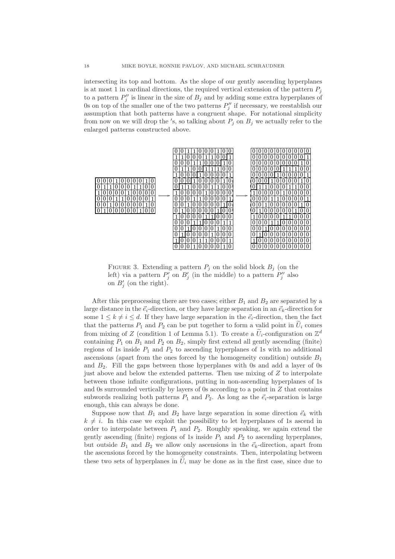intersecting its top and bottom. As the slope of our gently ascending hyperplanes is at most 1 in cardinal directions, the required vertical extension of the pattern  $P_i$ to a pattern  $P_j''$  is linear in the size of  $B_j$  and by adding some extra hyperplanes of 0s on top of the smaller one of the two patterns  $P''_j$  if necessary, we reestablish our assumption that both patterns have a congruent shape. For notational simplicity from now on we will drop the 's, so talking about  $P_j$  on  $B_j$  we actually refer to the enlarged patterns constructed above.



FIGURE 3. Extending a pattern  $P_i$  on the solid block  $B_i$  (on the left) via a pattern  $P'_j$  on  $B'_j$  (in the middle) to a pattern  $P''_j$  also on  $B'_j$  (on the right).

After this preprocessing there are two cases; either  $B_1$  and  $B_2$  are separated by a large distance in the  $\vec{e}_i$ -direction, or they have large separation in an  $\vec{e}_k$ -direction for some  $1 \leq k \neq i \leq d$ . If they have large separation in the  $\vec{e}_i$ -direction, then the fact that the patterns  $P_1$  and  $P_2$  can be put together to form a valid point in  $\tilde{U}_i$  comes from mixing of Z (condition 1 of Lemma 5.1). To create a  $\tilde{U}_i$ -configuration on  $\mathbb{Z}^d$ containing  $P_1$  on  $B_1$  and  $P_2$  on  $B_2$ , simply first extend all gently ascending (finite) regions of 1s inside  $P_1$  and  $P_2$  to ascending hyperplanes of 1s with no additional ascensions (apart from the ones forced by the homogeneity condition) outside  $B_1$ and  $B_2$ . Fill the gaps between those hyperplanes with 0s and add a layer of 0s just above and below the extended patterns. Then use mixing of  $Z$  to interpolate between those infinite configurations, putting in non-ascending hyperplanes of 1s and 0s surrounded vertically by layers of 0s according to a point in  $Z$  that contains subwords realizing both patterns  $P_1$  and  $P_2$ . As long as the  $\vec{e}_i$ -separation is large enough, this can always be done.

Suppose now that  $B_1$  and  $B_2$  have large separation in some direction  $\vec{e}_k$  with  $k \neq i$ . In this case we exploit the possibility to let hyperplanes of 1s ascend in order to interpolate between  $P_1$  and  $P_2$ . Roughly speaking, we again extend the gently ascending (finite) regions of 1s inside  $P_1$  and  $P_2$  to ascending hyperplanes, but outside  $B_1$  and  $B_2$  we allow only ascensions in the  $\vec{e}_k$ -direction, apart from the ascensions forced by the homogeneity constraints. Then, interpolating between these two sets of hyperplanes in  $\tilde{U}_i$  may be done as in the first case, since due to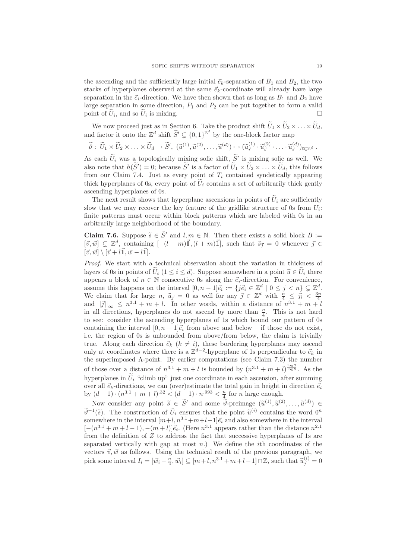the ascending and the sufficiently large initial  $\vec{e}_k$ -separation of  $B_1$  and  $B_2$ , the two stacks of hyperplanes observed at the same  $\vec{e}_k$ -coordinate will already have large separation in the  $\vec{e}_i$ -direction. We have then shown that as long as  $B_1$  and  $B_2$  have large separation in some direction,  $P_1$  and  $P_2$  can be put together to form a valid point of  $\widetilde{U}_i$ , and so  $\widetilde{U}_i$  is mixing.

We now proceed just as in Section 6. Take the product shift  $U_1 \times U_2 \times \ldots \times U_d$ , and factor it onto the  $\mathbb{Z}^d$  shift  $\widetilde{S}' \subsetneq \{0,1\}^{\mathbb{Z}^d}$  by the one-block factor map

$$
\widetilde{\theta}: \widetilde{U}_1 \times \widetilde{U}_2 \times \ldots \times \widetilde{U}_d \to \widetilde{S}', \ (\widetilde{u}^{(1)}, \widetilde{u}^{(2)}, \ldots, \widetilde{u}^{(d)}) \mapsto (\widetilde{u}_{\vec{i}}^{(1)} \cdot \widetilde{u}_{\vec{i}}^{(2)} \cdot \ldots \cdot \widetilde{u}_{\vec{i}}^{(d)})_{\vec{i} \in \mathbb{Z}^d}.
$$

As each  $U_i$  was a topologically mixing sofic shift,  $S'$  is mixing sofic as well. We also note that  $h(S') = 0$ ; because S' is a factor of  $U_1 \times U_2 \times \ldots \times U_d$ , this follows from our Claim 7.4. Just as every point of  $T_i$  contained syndetically appearing thick hyperplanes of 0s, every point of  $U_i$  contains a set of arbitrarily thick gently ascending hyperplanes of 0s.

The next result shows that hyperplane ascensions in points of  $\tilde{U}_i$  are sufficiently slow that we may recover the key feature of the gridlike structure of 0s from  $U_i$ : finite patterns must occur within block patterns which are labeled with 0s in an arbitrarily large neighborhood of the boundary.

**Claim 7.6.** Suppose  $\widetilde{s} \in \widetilde{S}'$  and  $l, m \in \mathbb{N}$ . Then there exists a solid block  $B :=$  $[\vec{v}, \vec{w}] \subsetneq \mathbb{Z}^d$ , containing  $[-(l+m)\vec{1}, (l+m)\vec{1}]$ , such that  $\tilde{s}_{\vec{j}}=0$  whenever  $\vec{j} \in \mathbb{Z}^d$ .  $[\vec{v}, \vec{w}] \setminus [\vec{v} + l\vec{\mathbb{1}}, \vec{w} - l\vec{\mathbb{1}}].$ 

Proof. We start with a technical observation about the variation in thickness of layers of 0s in points of  $U_i$  (1 ≤ i ≤ d). Suppose somewhere in a point  $\widetilde{u} \in U_i$  there appears a block of  $n \in \mathbb{N}$  consecutive 0s along the  $\vec{e}_i$ -direction. For convenience, assume this happens on the interval  $[0, n-1] \vec{e}_i := \{ j \vec{e}_i \in \mathbb{Z}^d \mid 0 \leq j \leq n \} \subsetneq \mathbb{Z}^d$ . We claim that for large  $n, \tilde{u}_{\tilde{j}} = 0$  as well for any  $\tilde{j} \in \mathbb{Z}^d$  with  $\frac{n}{4} \leq \tilde{j}_i < \frac{3n}{4}$ <br>and  $\|\tilde{j}\|_{\infty} \leq n^{3.1} + m + l$ . In other words, within a distance of  $n^{3.1} + m + l$ in all directions, hyperplanes do not ascend by more than  $\frac{n}{4}$ . This is not hard to see: consider the ascending hyperplanes of 1s which bound our pattern of 0s containing the interval  $[0, n - 1]\vec{e}_i$  from above and below – if those do not exist, i.e. the region of 0s is unbounded from above/from below, the claim is trivially true. Along each direction  $\vec{e}_k$  ( $k \neq i$ ), these bordering hyperplanes may ascend only at coordinates where there is a  $\mathbb{Z}^{d-2}$ -hyperplane of 1s perpendicular to  $\vec{e}_k$  in the superimposed Λ-point. By earlier computations (see Claim 7.3) the number of those over a distance of  $n^{3.1} + m + l$  is bounded by  $(n^{3.1} + m + l)^{\frac{\log 2}{\log 9}}$ . As the hyperplanes in  $\tilde{U}_i$  "climb up" just one coordinate in each ascension, after summing over all  $\vec{e}_k$ -directions, we can (over)estimate the total gain in height in direction  $\vec{e}_i$ by  $(d-1) \cdot (n^{3.1} + m + l)^{32} < (d-1) \cdot n^{.993} < \frac{n}{4}$  for *n* large enough.

Now consider any point  $\widetilde{s} \in \widetilde{S}'$  and some  $\widetilde{\vartheta}$ -preimage  $(\widetilde{u}^{(1)}, \widetilde{u}^{(2)}, \ldots, \widetilde{u}^{(d)}) \in$  $\widetilde{v}^{-1}(\widetilde{s})$ . The construction of  $\widetilde{U}_i$  ensures that the point  $\widetilde{u}^{(i)}$  contains the word  $0^n$ somewhere in the interval  $[m+l,n^{3.1}+m+l-1]\vec{e}_i$  and also somewhere in the interval  $[-(n^{3.1} + m + l - 1), -(m + l)]\vec{e}_i$ . (Here  $n^{3.1}$  appears rather than the distance  $n^{2.1}$ from the definition of Z to address the fact that successive hyperplanes of 1s are separated vertically with gap at most  $n$ .) We define the *i*th coordinates of the vectors  $\vec{v}, \vec{w}$  as follows. Using the technical result of the previous paragraph, we pick some interval  $I_i = [\vec{w}_i - \frac{n}{2}, \vec{w}_i] \subseteq [m+l, n^{3.1} + m+l-1] \cap \mathbb{Z}$ , such that  $\widetilde{u}_{\vec{j}}^{(i)} = 0$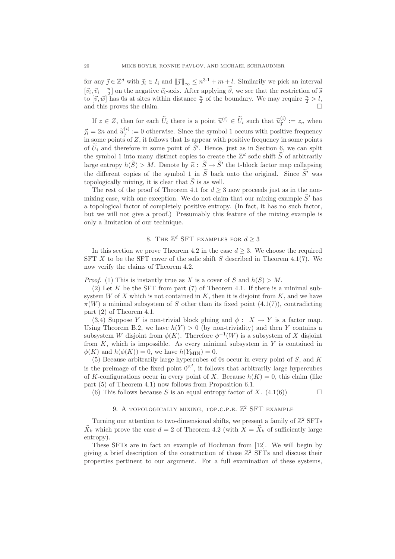for any  $\vec{j} \in \mathbb{Z}^d$  with  $\vec{j}_i \in I_i$  and  $\|\vec{j}\|_{\infty} \leq n^{3.1} + m + l$ . Similarily we pick an interval  $[\vec{v}_i, \vec{v}_i + \frac{n}{2}]$  on the negative  $\vec{e}_i$ -axis. After applying  $\hat{\theta}$ , we see that the restriction of  $\tilde{s}$ to  $[\vec{v}, \vec{w}]$  has 0s at sites within distance  $\frac{n}{2}$  of the boundary. We may require  $\frac{n}{2} > l$ , and this proves the claim.

If  $z \in Z$ , then for each  $\widetilde{U}_i$  there is a point  $\widetilde{u}^{(i)} \in \widetilde{U}_i$  such that  $\widetilde{u}^{(i)}_j := z_n$  when  $\vec{j}_i = 2n$  and  $\hat{u}_{\vec{j}}^{(i)} := 0$  otherwise. Since the symbol 1 occurs with positive frequency in some points of Z, it follows that 1s appear with positive frequency in some points of  $U_i$  and therefore in some point of  $S'$ . Hence, just as in Section 6, we can split the symbol 1 into many distinct copies to create the  $\mathbb{Z}^d$  sofic shift  $\widetilde{S}$  of arbitrarily large entropy  $h(S) > M$ . Denote by  $\widetilde{\kappa}: S \to S'$  the 1-block factor map collapsing the different copies of the symbol 1 in  $\widetilde{S}$  back onto the original. Since  $\widetilde{S}'$  was topologically mixing, it is clear that  $\widetilde{S}$  is as well.

The rest of the proof of Theorem 4.1 for  $d > 3$  now proceeds just as in the nonmixing case, with one exception. We do not claim that our mixing example  $\widetilde{S}'$  has a topological factor of completely positive entropy. (In fact, it has no such factor, but we will not give a proof.) Presumably this feature of the mixing example is only a limitation of our technique.

# 8. THE  $\mathbb{Z}^d$  SFT EXAMPLES FOR  $d \geq 3$

In this section we prove Theorem 4.2 in the case  $d \geq 3$ . We choose the required SFT X to be the SFT cover of the sofic shift S described in Theorem 4.1(7). We now verify the claims of Theorem 4.2.

*Proof.* (1) This is instantly true as X is a cover of S and  $h(S) > M$ .

(2) Let K be the SFT from part  $(7)$  of Theorem 4.1. If there is a minimal subsystem W of X which is not contained in K, then it is disjoint from K, and we have  $\pi(W)$  a minimal subsystem of S other than its fixed point (4.1(7)), contradicting part (2) of Theorem 4.1.

(3,4) Suppose Y is non-trivial block gluing and  $\phi : X \to Y$  is a factor map. Using Theorem B.2, we have  $h(Y) > 0$  (by non-triviality) and then Y contains a subsystem W disjoint from  $\phi(K)$ . Therefore  $\phi^{-1}(W)$  is a subsystem of X disjoint from  $K$ , which is impossible. As every minimal subsystem in  $Y$  is contained in  $\phi(K)$  and  $h(\phi(K)) = 0$ , we have  $h(Y_{\text{MIN}}) = 0$ .

(5) Because arbitrarily large hypercubes of 0s occur in every point of S, and K is the preimage of the fixed point  $0^{\mathbb{Z}^d}$ , it follows that arbitrarily large hypercubes of K-configurations occur in every point of X. Because  $h(K) = 0$ , this claim (like part (5) of Theorem 4.1) now follows from Proposition 6.1.

(6) This follows because S is an equal entropy factor of X.  $(4.1(6))$ 

### 9. A TOPOLOGICALLY MIXING, TOP.C.P.E.  $\mathbb{Z}^2$  SFT EXAMPLE

Turning our attention to two-dimensional shifts, we present a family of  $\mathbb{Z}^2$  SFTs  $\tilde{X}_k$  which prove the case  $d = 2$  of Theorem 4.2 (with  $X = \tilde{X}_k$  of sufficiently large entropy).

These SFTs are in fact an example of Hochman from [12]. We will begin by giving a brief description of the construction of those  $\mathbb{Z}^2$  SFTs and discuss their properties pertinent to our argument. For a full examination of these systems,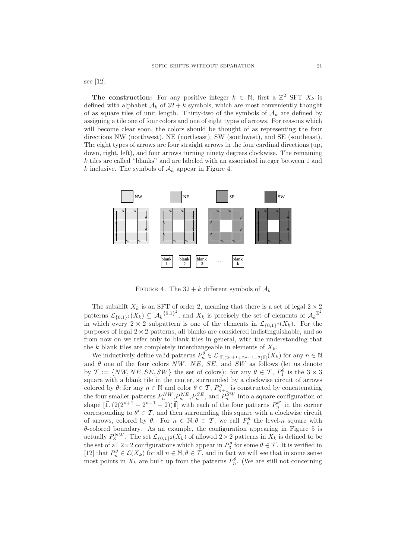see [12].

**The construction:** For any positive integer  $k \in \mathbb{N}$ , first a  $\mathbb{Z}^2$  SFT  $X_k$  is defined with alphabet  $A_k$  of  $32 + k$  symbols, which are most conveniently thought of as square tiles of unit length. Thirty-two of the symbols of  $A_k$  are defined by assigning a tile one of four colors and one of eight types of arrows. For reasons which will become clear soon, the colors should be thought of as representing the four directions NW (northwest), NE (northeast), SW (southwest), and SE (southeast). The eight types of arrows are four straight arrows in the four cardinal directions (up, down, right, left), and four arrows turning ninety degrees clockwise. The remaining k tiles are called "blanks" and are labeled with an associated integer between 1 and k inclusive. The symbols of  $A_k$  appear in Figure 4.



FIGURE 4. The  $32 + k$  different symbols of  $\mathcal{A}_k$ 

The subshift  $X_k$  is an SFT of order 2, meaning that there is a set of legal  $2 \times 2$ patterns  $\mathcal{L}_{\{0,1\}^2}(X_k) \subseteq \mathcal{A}_k^{\{0,1\}^2}$ , and  $X_k$  is precisely the set of elements of  $\mathcal{A}_k^{\mathbb{Z}^2}$ in which every  $2 \times 2$  subpattern is one of the elements in  $\mathcal{L}_{\{0,1\}^2}(X_k)$ . For the purposes of legal  $2 \times 2$  patterns, all blanks are considered indistinguishable, and so from now on we refer only to blank tiles in general, with the understanding that the k blank tiles are completely interchangeable in elements of  $X_k$ .

We inductively define valid patterns  $P_n^{\theta} \in \mathcal{L}_{\left[\vec{\mathbf{I}}\right],\left(2^{n+1}+2^{n-1}-2\right)\vec{\mathbf{I}}\left]}(X_k)$  for any  $n \in \mathbb{N}$ and  $\theta$  one of the four colors NW, NE, SE, and SW as follows (let us denote by  $\mathcal{T} := \{NW, NE, SE, SW\}$  the set of colors): for any  $\theta \in \mathcal{T}$ ,  $P_1^{\theta}$  is the  $3 \times 3$ square with a blank tile in the center, surrounded by a clockwise circuit of arrows colored by  $\theta$ ; for any  $n \in \mathbb{N}$  and color  $\theta \in \mathcal{T}$ ,  $P_{n+1}^{\theta}$  is constructed by concatenating the four smaller patterns  $P_n^{NW}, P_n^{NE}, P_n^{SE}$ , and  $P_n^{SW}$  into a square configuration of shape  $[\vec{1},(2(2^{n+1}+2^{n-1}-2))\vec{1}]$  with each of the four patterns  $P_n^{\theta'}$  in the corner corresponding to  $\theta' \in \mathcal{T}$ , and then surrounding this square with a clockwise circuit of arrows, colored by  $\theta$ . For  $n \in \mathbb{N}, \theta \in \mathcal{T}$ , we call  $P_n^{\theta}$  the level-n square with  $\theta$ -colored boundary. As an example, the configuration appearing in Figure 5 is actually  $P_3^{NW}$ . The set  $\mathcal{L}_{\{0,1\}^2}(X_k)$  of allowed  $2 \times 2$  patterns in  $X_k$  is defined to be the set of all  $2 \times 2$  configurations which appear in  $P_3^{\theta}$  for some  $\theta \in \mathcal{T}$ . It is verified in [12] that  $P_n^{\theta} \in \mathcal{L}(X_k)$  for all  $n \in \mathbb{N}, \theta \in \mathcal{T}$ , and in fact we will see that in some sense most points in  $X_k$  are built up from the patterns  $P_n^{\theta}$ . (We are still not concerning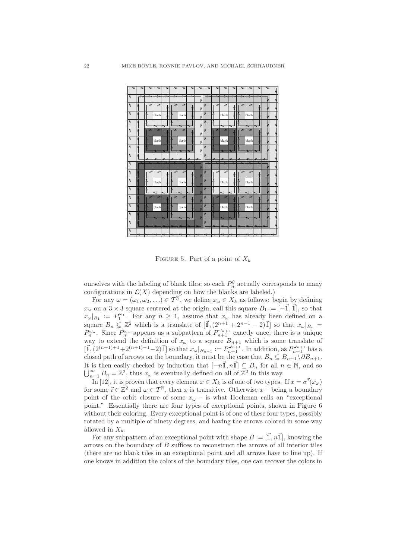

FIGURE 5. Part of a point of  $X_k$ 

ourselves with the labeling of blank tiles; so each  $P_n^{\theta}$  actually corresponds to many configurations in  $\mathcal{L}(X)$  depending on how the blanks are labeled.)

For any  $\omega = (\omega_1, \omega_2, \ldots) \in \mathcal{T}^{\mathbb{N}},$  we define  $x_{\omega} \in X_k$  as follows: begin by defining  $x_{\omega}$  on a 3 × 3 square centered at the origin, call this square  $B_1 := [-\vec{1}, \vec{1}],$  so that  $x_{\omega}|_{B_1} := P_1^{\omega_1}$ . For any  $n \geq 1$ , assume that  $x_{\omega}$  has already been defined on a square  $B_n \subsetneq \mathbb{Z}^2$  which is a translate of  $[\mathbb{I},(2^{n+1}+2^{n-1}-2)\mathbb{I}]$  so that  $x_{\omega}|_{B_n} =$  $P_n^{\omega_n}$ . Since  $P_n^{\omega_n}$  appears as a subpattern of  $P_{n+1}^{\omega_{n+1}}$  exactly once, there is a unique way to extend the definition of  $x_{\omega}$  to a square  $B_{n+1}$  which is some translate of  $[\vec{\mathbb{I}},(2^{(n+1)+1}+2^{(n+1)-1}-2)\vec{\mathbb{I}}]$  so that  $x_{\omega}|_{B_{n+1}} := P_{n+1}^{\omega_{n+1}}$ . In addition, as  $P_{n+1}^{\omega_{n+1}}$  has a closed path of arrows on the boundary, it must be the case that  $B_n \subseteq B_{n+1} \setminus \partial B_{n+1}$ . It is then easily checked by induction that  $[-n\vec{1},n\vec{1}] \subseteq B_n$  for all  $n \in \mathbb{N}$ , and so  $\bigcup_{n=1}^{\infty} B_n = \mathbb{Z}^2$ , thus  $x_{\omega}$  is eventually defined on all of  $\mathbb{Z}^2$  in this way.

In [12], it is proven that every element  $x \in X_k$  is of one of two types. If  $x = \sigma^{\vec{i}}(x_\omega)$ for some  $\vec{i} \in \mathbb{Z}^2$  and  $\omega \in \mathcal{T}^{\mathbb{N}}$ , then x is transitive. Otherwise  $x$  – being a boundary point of the orbit closure of some  $x_{\omega}$  – is what Hochman calls an "exceptional point." Essentially there are four types of exceptional points, shown in Figure 6 without their coloring. Every exceptional point is of one of these four types, possibly rotated by a multiple of ninety degrees, and having the arrows colored in some way allowed in  $X_k$ .

For any subpattern of an exceptional point with shape  $B := [\vec{\mathbb{1}}, n\vec{\mathbb{1}}]$ , knowing the arrows on the boundary of  $B$  suffices to reconstruct the arrows of all interior tiles (there are no blank tiles in an exceptional point and all arrows have to line up). If one knows in addition the colors of the boundary tiles, one can recover the colors in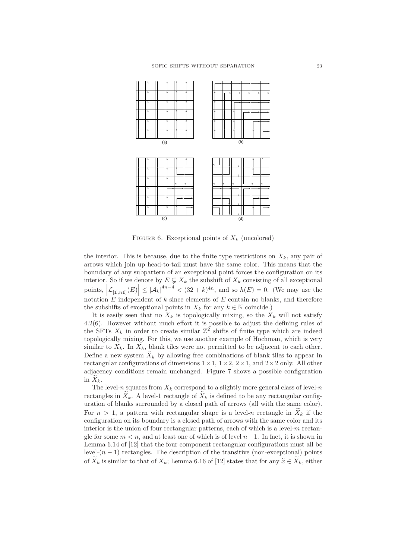

FIGURE 6. Exceptional points of  $X_k$  (uncolored)

the interior. This is because, due to the finite type restrictions on  $X_k$ , any pair of arrows which join up head-to-tail must have the same color. This means that the boundary of any subpattern of an exceptional point forces the configuration on its interior. So if we denote by  $E \subsetneq X_k$  the subshift of  $X_k$  consisting of all exceptional points,  $\left|\mathcal{L}_{\left[\vec{\mathbf{I}},n\vec{\mathbf{I}}\right]}(E)\right| \leq \left|\mathcal{A}_k\right|^{4n-4} < (32+k)^{4n}$ , and so  $h(E) = 0$ . (We may use the notation  $E$  independent of  $k$  since elements of  $E$  contain no blanks, and therefore the subshifts of exceptional points in  $X_k$  for any  $k \in \mathbb{N}$  coincide.)

It is easily seen that no  $X_k$  is topologically mixing, so the  $X_k$  will not satisfy 4.2(6). However without much effort it is possible to adjust the defining rules of the SFTs  $X_k$  in order to create similar  $\mathbb{Z}^2$  shifts of finite type which are indeed topologically mixing. For this, we use another example of Hochman, which is very similar to  $X_k$ . In  $X_k$ , blank tiles were not permitted to be adjacent to each other. Define a new system  $\bar{X}_k$  by allowing free combinations of blank tiles to appear in rectangular configurations of dimensions  $1 \times 1$ ,  $1 \times 2$ ,  $2 \times 1$ , and  $2 \times 2$  only. All other adjacency conditions remain unchanged. Figure 7 shows a possible configuration in  $X_k$ .

The level-n squares from  $X_k$  correspond to a slightly more general class of level-n rectangles in  $X_k$ . A level-1 rectangle of  $X_k$  is defined to be any rectangular configuration of blanks surrounded by a closed path of arrows (all with the same color). For  $n > 1$ , a pattern with rectangular shape is a level-n rectangle in  $\widetilde{X}_k$  if the configuration on its boundary is a closed path of arrows with the same color and its interior is the union of four rectangular patterns, each of which is a level- $m$  rectangle for some  $m < n$ , and at least one of which is of level  $n-1$ . In fact, it is shown in Lemma 6.14 of [12] that the four component rectangular configurations must all be level- $(n-1)$  rectangles. The description of the transitive (non-exceptional) points of  $\widetilde{X}_k$  is similar to that of  $X_k$ ; Lemma 6.16 of [12] states that for any  $\widetilde{x} \in \widetilde{X}_k$ , either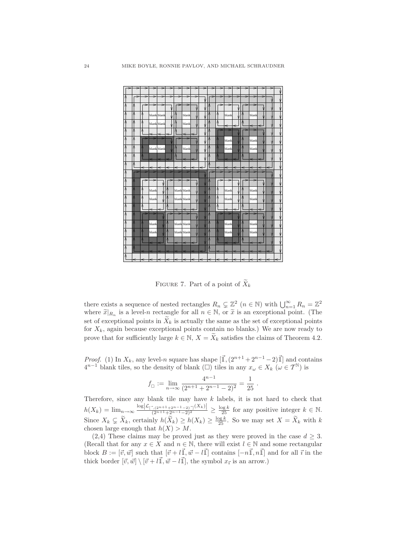

FIGURE 7. Part of a point of  $\widetilde{X}_k$ 

there exists a sequence of nested rectangles  $R_n \subsetneq \mathbb{Z}^2$   $(n \in \mathbb{N})$  with  $\bigcup_{n=1}^{\infty} R_n = \mathbb{Z}^2$ where  $\widetilde{x}|_{R_n}$  is a level-n rectangle for all  $n \in \mathbb{N}$ , or  $\widetilde{x}$  is an exceptional point. (The set of exceptional points in  $\widetilde{X}_k$  is actually the same as the set of exceptional points for  $X_k$ , again because exceptional points contain no blanks.) We are now ready to prove that for sufficiently large  $k \in \mathbb{N}$ ,  $X = \widetilde{X}_k$  satisfies the claims of Theorem 4.2.

*Proof.* (1) In  $X_k$ , any level-n square has shape  $[\mathbf{I}, (2^{n+1} + 2^{n-1} - 2)\mathbf{I}]$  and contains  $4^{n-1}$  blank tiles, so the density of blank ( $\square$ ) tiles in any  $x_{\omega} \in X_k$  ( $\omega \in T^{\mathbb{N}}$ ) is

$$
f_{\Box} := \lim_{n \to \infty} \frac{4^{n-1}}{(2^{n+1} + 2^{n-1} - 2)^2} = \frac{1}{25}.
$$

Therefore, since any blank tile may have k labels, it is not hard to check that  $h(X_k) = \lim_{n \to \infty} \frac{\log |\mathcal{L}_{[-, (2^{n+1}+2^{n-1}-2)]}(X_k)|}{(2^{n+1}+2^{n-1}-2)^2} \ge \frac{\log k}{25}$  for any positive integer  $k \in \mathbb{N}$ . Since  $X_k \subsetneq \widetilde{X}_k$ , certainly  $h(\widetilde{X}_k) \geq h(X_k) \geq \frac{\log k}{25}$ . So we may set  $X = \widetilde{X}_k$  with  $k$ chosen large enough that  $h(X) > M$ .

 $(2,4)$  These claims may be proved just as they were proved in the case  $d \geq 3$ . (Recall that for any  $x \in X$  and  $n \in \mathbb{N}$ , there will exist  $l \in \mathbb{N}$  and some rectangular block  $B := [\vec{v}, \vec{w}]$  such that  $[\vec{v} + l\vec{1}, \vec{w} - l\vec{1}]$  contains  $[-n\vec{1}, n\vec{1}]$  and for all  $\vec{v}$  in the thick border  $[\vec{v}, \vec{w}] \setminus [\vec{v} + l\vec{1}, \vec{w} - l\vec{1}]$ , the symbol  $x_{\vec{i}}$  is an arrow.)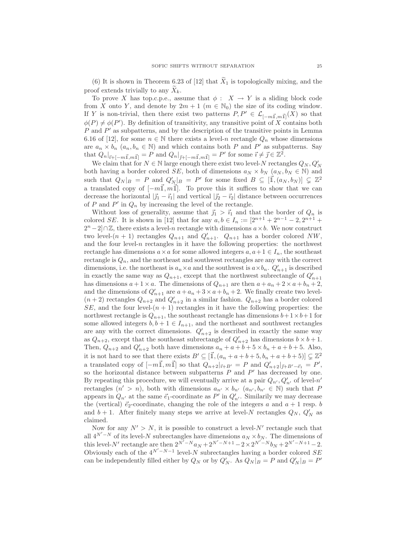(6) It is shown in Theorem 6.23 of [12] that  $\widetilde{X}_1$  is topologically mixing, and the proof extends trivially to any  $X_k$ .

To prove X has top.c.p.e., assume that  $\phi : X \to Y$  is a sliding block code from X onto Y, and denote by  $2m + 1$   $(m \in \mathbb{N}_0)$  the size of its coding window. If Y is non-trivial, then there exist two patterns  $P, P' \in \mathcal{L}_{[-m\vec{1},m\vec{1}]}(X)$  so that  $\phi(P) \neq \phi(P')$ . By definition of transitivity, any transitive point of X contains both P and P ′ as subpatterns, and by the description of the transitive points in Lemma 6.16 of [12], for some  $n \in \mathbb{N}$  there exists a level-n rectangle  $Q_n$  whose dimensions are  $a_n \times b_n$   $(a_n, b_n \in \mathbb{N})$  and which contains both P and P' as subpatterns. Say that  $Q_n|_{\vec{i}+[-m\vec{1},m\vec{1}]} = P$  and  $Q_n|_{\vec{j}+[-m\vec{1},m\vec{1}]} = P'$  for some  $\vec{i} \neq \vec{j} \in \mathbb{Z}^2$ .

We claim that for  $N \in \mathbb{N}$  large enough there exist two level-N rectangles  $Q_N, Q'_N$ both having a border colored SE, both of dimensions  $a_N \times b_N$   $(a_N, b_N \in \mathbb{N})$  and such that  $Q_N|_B = P$  and  $Q'_{N} |_B = P'$  for some fixed  $B \subseteq [\mathbb{I}, (a_N, b_N)] \subsetneq \mathbb{Z}^2$ a translated copy of  $[-m\vec{1},m\vec{1}]$ . To prove this it suffices to show that we can decrease the horizontal  $|\vec{j_1} - \vec{i_1}|$  and vertical  $|\vec{j_2} - \vec{i_2}|$  distance between occurrences of P and  $P'$  in  $Q_n$  by increasing the level of the rectangle.

Without loss of generality, assume that  $\vec{j}_1 > \vec{i}_1$  and that the border of  $Q_n$  is colored SE. It is shown in [12] that for any  $a, b \in I_n := [2^{n+1} + 2^{n-1} - 2, 2^{n+1} +$  $2^{n}-2$ ]∩Z, there exists a level-n rectangle with dimensions  $a \times b$ . We now construct two level- $(n + 1)$  rectangles  $Q_{n+1}$  and  $Q'_{n+1}$ .  $Q_{n+1}$  has a border colored NW, and the four level- $n$  rectangles in it have the following properties: the northwest rectangle has dimensions  $a \times a$  for some allowed integers  $a, a+1 \in I_n$ , the southeast rectangle is  $Q_n$ , and the northeast and southwest rectangles are any with the correct dimensions, i.e. the northeast is  $a_n \times a$  and the southwest is  $a \times b_n$ .  $Q'_{n+1}$  is described in exactly the same way as  $Q_{n+1}$ , except that the northwest subrectangle of  $Q'_{n+1}$ has dimensions  $a + 1 \times a$ . The dimensions of  $Q_{n+1}$  are then  $a + a_n + 2 \times a + b_n + 2$ , and the dimensions of  $Q'_{n+1}$  are  $a+a_n+3\times a+b_n+2$ . We finally create two level- $(n+2)$  rectangles  $Q_{n+2}$  and  $Q'_{n+2}$  in a similar fashion.  $Q_{n+2}$  has a border colored SE, and the four level- $(n + 1)$  rectangles in it have the following properties: the northwest rectangle is  $Q_{n+1}$ , the southeast rectangle has dimensions  $b+1\times b+1$  for some allowed integers  $b, b + 1 \in I_{n+1}$ , and the northeast and southwest rectangles are any with the correct dimensions.  $Q'_{n+2}$  is described in exactly the same way as  $Q_{n+2}$ , except that the southeast subrectangle of  $Q'_{n+2}$  has dimensions  $b \times b + 1$ . Then,  $Q_{n+2}$  and  $Q'_{n+2}$  both have dimensions  $a_n + a + b + 5 \times b_n + a + b + 5$ . Also, it is not hard to see that there exists  $B' \subseteq [\vec{1}, (a_n + a + b + 5, b_n + a + b + 5)] \subsetneq \mathbb{Z}^2$ a translated copy of  $[-m\vec{1},m\vec{1}]$  so that  $Q_{n+2}|_{\vec{i}+B'} = P$  and  $Q'_{n+2}|_{\vec{j}+B'-\vec{e}_1} = P'$ , so the horizontal distance between subpatterns  $P$  and  $P'$  has decreased by one. By repeating this procedure, we will eventually arrive at a pair  $Q_{n'}$ ,  $Q'_{n'}$  of level-n' rectangles  $(n' > n)$ , both with dimensions  $a_{n'} \times b_{n'}$   $(a_{n'}, b_{n'} \in \mathbb{N})$  such that P appears in  $Q_{n'}$  at the same  $\vec{e_1}$ -coordinate as  $P'$  in  $Q'_{n'}$ . Similarily we may decrease the (vertical)  $\vec{e}_2$ -coordinate, changing the role of the integers a and  $a + 1$  resp. b and  $b + 1$ . After finitely many steps we arrive at level-N rectangles  $Q_N$ ,  $Q'_N$  as claimed.

Now for any  $N' > N$ , it is possible to construct a level- $N'$  rectangle such that all  $4^{N'-N}$  of its level-N subrectangles have dimensions  $a_N \times b_N$ . The dimensions of this level-N' rectangle are then  $2^{N'-N}a_N + 2^{N'-N+1} - 2 \times 2^{N'-N}b_N + 2^{N'-N+1} - 2$ . Obviously each of the  $4^{N'-N-1}$  level-N subrectangles having a border colored SE can be independently filled either by  $Q_N$  or by  $Q'_N$ . As  $Q_N|_B = P$  and  $Q'_N|_B = P'$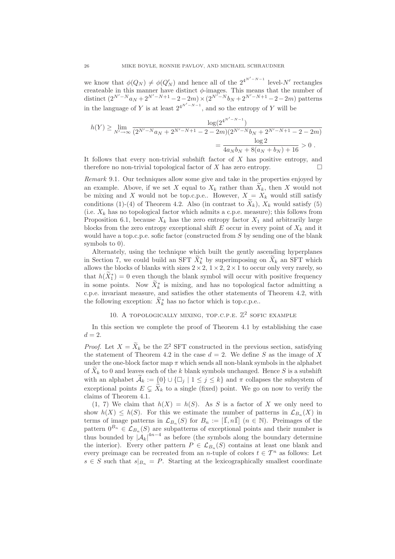we know that  $\phi(Q_N) \neq \phi(Q'_N)$  and hence all of the  $2^{4^{N'-N-1}}$  level-N' rectangles createable in this manner have distinct  $\phi$ -images. This means that the number of distinct  $(2^{N'-N}a_N + 2^{N'-N+1} - 2 - 2m) \times (2^{N'-N}b_N + 2^{N'-N+1} - 2 - 2m)$  patterns in the language of Y is at least  $2^{4^{N'-N-1}}$ , and so the entropy of Y will be

$$
h(Y) \ge \lim_{N' \to \infty} \frac{\log(2^{4^{N'-N-1}})}{(2^{N'-N}a_N + 2^{N'-N+1} - 2 - 2m)(2^{N'-N}b_N + 2^{N'-N+1} - 2 - 2m)}
$$
  
= 
$$
\frac{\log 2}{4a_Nb_N + 8(a_N + b_N) + 16} > 0.
$$

It follows that every non-trivial subshift factor of  $X$  has positive entropy, and therefore no non-trivial topological factor of X has zero entropy.  $\Box$ 

Remark 9.1. Our techniques allow some give and take in the properties enjoyed by an example. Above, if we set X equal to  $X_k$  rather than  $\overline{X}_k$ , then X would not be mixing and X would not be top.c.p.e.. However,  $X = X_k$  would still satisfy conditions (1)-(4) of Theorem 4.2. Also (in contrast to  $\widetilde{X}_k$ ),  $X_k$  would satisfy (5) (i.e.  $X_k$  has no topological factor which admits a c.p.e. measure); this follows from Proposition 6.1, because  $X_k$  has the zero entropy factor  $X_1$  and arbitrarily large blocks from the zero entropy exceptional shift  $E$  occur in every point of  $X_k$  and it would have a top.c.p.e. sofic factor (constructed from S by sending one of the blank symbols to 0).

Alternately, using the technique which built the gently ascending hyperplanes in Section 7, we could build an SFT  $X_k^*$  by superimposing on  $X_k$  an SFT which allows the blocks of blanks with sizes  $2 \times 2$ ,  $1 \times 2$ ,  $2 \times 1$  to occur only very rarely, so that  $h(X_1^*) = 0$  even though the blank symbol will occur with positive frequency in some points. Now  $X_k^*$  is mixing, and has no topological factor admitting a c.p.e. invariant measure, and satisfies the other statements of Theorem 4.2, with the following exception:  $X_k^*$  has no factor which is top.c.p.e..

### 10. A TOPOLOGICALLY MIXING, TOP.C.P.E.  $\mathbb{Z}^2$  SOFIC EXAMPLE

In this section we complete the proof of Theorem 4.1 by establishing the case  $d=2$ .

*Proof.* Let  $X = \tilde{X}_k$  be the  $\mathbb{Z}^2$  SFT constructed in the previous section, satisfying the statement of Theorem 4.2 in the case  $d = 2$ . We define S as the image of X under the one-block factor map  $\pi$  which sends all non-blank symbols in the alphabet of  $X_k$  to 0 and leaves each of the k blank symbols unchanged. Hence S is a subshift with an alphabet  $\mathcal{A}_k := \{0\} \cup \{\Box_j \mid 1 \leq j \leq k\}$  and  $\pi$  collapses the subsystem of exceptional points  $E \subsetneq X_k$  to a single (fixed) point. We go on now to verify the claims of Theorem 4.1.

 $(1, 7)$  We claim that  $h(X) = h(S)$ . As S is a factor of X we only need to show  $h(X) \leq h(S)$ . For this we estimate the number of patterns in  $\mathcal{L}_{B_n}(X)$  in terms of image patterns in  $\mathcal{L}_{B_n}(S)$  for  $B_n := [\mathbb{I}, n\mathbb{I}]$   $(n \in \mathbb{N})$ . Preimages of the pattern  $0^{B_n} \in \mathcal{L}_{B_n}(S)$  are subpatterns of exceptional points and their number is thus bounded by  $|\mathcal{A}_k|^{4n-4}$  as before (the symbols along the boundary determine the interior). Every other pattern  $P \in \mathcal{L}_{B_n}(S)$  contains at least one blank and every preimage can be recreated from an n-tuple of colors  $t \in \mathcal{T}^n$  as follows: Let  $s \in S$  such that  $s|_{B_n} = P$ . Starting at the lexicographically smallest coordinate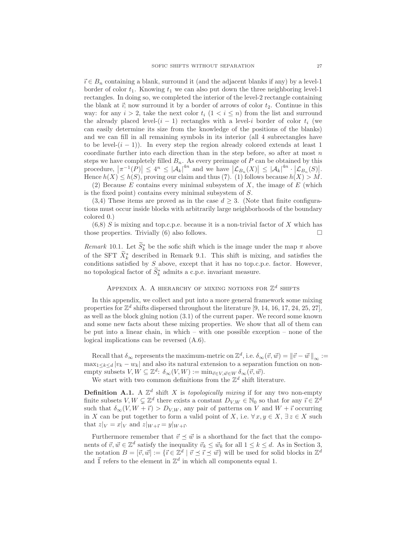$\vec{i} \in B_n$  containing a blank, surround it (and the adjacent blanks if any) by a level-1 border of color  $t_1$ . Knowing  $t_1$  we can also put down the three neighboring level-1 rectangles. In doing so, we completed the interior of the level-2 rectangle containing the blank at  $\vec{i}$ ; now surround it by a border of arrows of color  $t_2$ . Continue in this way: for any  $i > 2$ , take the next color  $t_i$   $(1 < i < n)$  from the list and surround the already placed level- $(i - 1)$  rectangles with a level-i border of color  $t_i$  (we can easily determine its size from the knowledge of the positions of the blanks) and we can fill in all remaining symbols in its interior (all 4 subrectangles have to be level- $(i - 1)$ ). In every step the region already colored extends at least 1 coordinate further into each direction than in the step before, so after at most  $n$ steps we have completely filled  $B_n$ . As every preimage of P can be obtained by this procedure,  $|\pi^{-1}(P)| \leq 4^n \leq |\mathcal{A}_k|^{4n}$  and we have  $|\mathcal{L}_{B_n}(X)| \leq |\mathcal{A}_k|^{4n} \cdot |\mathcal{L}_{B_n}(S)|$ . Hence  $h(X) \leq h(S)$ , proving our claim and thus (7). (1) follows because  $h(X) > M$ .

(2) Because  $E$  contains every minimal subsystem of  $X$ , the image of  $E$  (which is the fixed point) contains every minimal subsystem of S.

(3,4) These items are proved as in the case  $d > 3$ . (Note that finite configurations must occur inside blocks with arbitrarily large neighborhoods of the boundary colored 0.)

 $(6,8)$  S is mixing and top.c.p.e. because it is a non-trivial factor of X which has those properties. Trivially (6) also follows.

Remark 10.1. Let  $S_k^*$  be the sofic shift which is the image under the map  $\pi$  above of the SFT  $X_k^*$  described in Remark 9.1. This shift is mixing, and satisfies the conditions satisfied by  $S$  above, except that it has no top.c.p.e. factor. However, no topological factor of  $S_k^*$  admits a c.p.e. invariant measure.

### APPENDIX A. A HIERARCHY OF MIXING NOTIONS FOR  $\mathbb{Z}^d$  shifts

In this appendix, we collect and put into a more general framework some mixing properties for  $\mathbb{Z}^d$  shifts dispersed throughout the literature [9, 14, 16, 17, 24, 25, 27], as well as the block gluing notion (3.1) of the current paper. We record some known and some new facts about these mixing properties. We show that all of them can be put into a linear chain, in which – with one possible exception – none of the logical implications can be reversed (A.6).

Recall that  $\delta_{\infty}$  represents the maximum-metric on  $\mathbb{Z}^d$ , i.e.  $\delta_{\infty}(\vec{v}, \vec{w}) = ||\vec{v} - \vec{w}||_{\infty} :=$  $\max_{1 \leq k \leq d} |v_k - w_k|$  and also its natural extension to a separation function on nonempty subsets  $V, W \subseteq \mathbb{Z}^d$ :  $\delta_\infty(V, W) := \min_{\vec{v} \in V, \vec{w} \in W} \delta_\infty(\vec{v}, \vec{w})$ .

We start with two common definitions from the  $\mathbb{Z}^d$  shift literature.

**Definition A.1.** A  $\mathbb{Z}^d$  shift X is topologically mixing if for any two non-empty finite subsets  $V, W \subsetneq \mathbb{Z}^d$  there exists a constant  $D_{V,W} \in \mathbb{N}_0$  so that for any  $\vec{\imath} \in \mathbb{Z}^d$ such that  $\delta_{\infty}(V, W + \vec{i}) > D_{V,W}$ , any pair of patterns on V and  $W + \vec{i}$  occurring in X can be put together to form a valid point of X, i.e.  $\forall x, y \in X$ ,  $\exists z \in X$  such that  $z|_V = x|_V$  and  $z|_{W+\vec{i}} = y|_{W+\vec{i}}$ .

Furthermore remember that  $\vec{v} \preceq \vec{w}$  is a shorthand for the fact that the components of  $\vec{v}, \vec{w} \in \mathbb{Z}^d$  satisfy the inequality  $\vec{v}_k \leq \vec{w}_k$  for all  $1 \leq k \leq d$ . As in Section 3, the notation  $B = [\vec{v}, \vec{w}] := {\{\vec{v} \in \mathbb{Z}^d \mid \vec{v} \leq \vec{v} \leq \vec{w}\}}$  will be used for solid blocks in  $\mathbb{Z}^d$ and  $\vec{\mathbb{I}}$  refers to the element in  $\mathbb{Z}^d$  in which all components equal 1.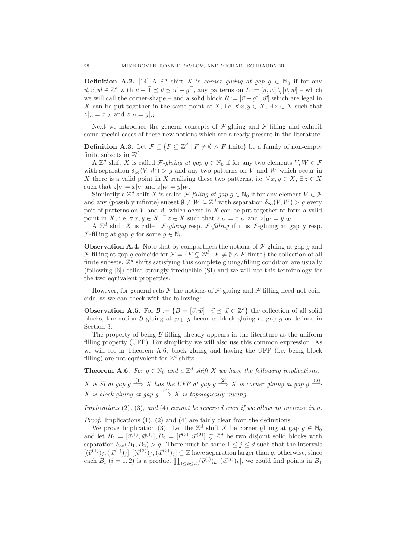**Definition A.2.** [14] A  $\mathbb{Z}^d$  shift X is corner gluing at gap  $g \in \mathbb{N}_0$  if for any  $\vec{u}, \vec{v}, \vec{w} \in \mathbb{Z}^d$  with  $\vec{u} + \vec{\mathbb{I}} \preceq \vec{v} \preceq \vec{w} - g\vec{\mathbb{I}}$ , any patterns on  $L := [\vec{u}, \vec{w}] \setminus [\vec{v}, \vec{w}]$  – which we will call the corner-shape – and a solid block  $R := [\vec{v} + g\vec{\mathbb{1}}, \vec{w}]$  which are legal in X can be put together in the same point of X, i.e.  $\forall x, y \in X$ ,  $\exists z \in X$  such that  $z|_L = x|_L$  and  $z|_R = y|_R$ .

Next we introduce the general concepts of  $\mathcal{F}\text{-gluing}$  and  $\mathcal{F}\text{-filling}$  and exhibit some special cases of these new notions which are already present in the literature.

**Definition A.3.** Let  $\mathcal{F} \subseteq \{F \subsetneq \mathbb{Z}^d \mid F \neq \emptyset \land F \text{ finite}\}\$  be a family of non-empty finite subsets in  $\mathbb{Z}^d$ .

A  $\mathbb{Z}^d$  shift X is called F-gluing at gap  $g \in \mathbb{N}_0$  if for any two elements  $V, W \in \mathcal{F}$ with separation  $\delta_{\infty}(V,W) > g$  and any two patterns on V and W which occur in X there is a valid point in X realizing these two patterns, i.e.  $\forall x, y \in X$ ,  $\exists z \in X$ such that  $z|_V = x|_V$  and  $z|_W = y|_W$ .

Similarily a  $\mathbb{Z}^d$  shift X is called F-filling at gap  $g \in \mathbb{N}_0$  if for any element  $V \in \mathcal{F}$ and any (possibly infinite) subset  $\emptyset \neq W \subseteq \mathbb{Z}^d$  with separation  $\delta_\infty(V,W) > g$  every pair of patterns on  $V$  and  $W$  which occur in  $X$  can be put together to form a valid point in X, i.e.  $\forall x, y \in X$ ,  $\exists z \in X$  such that  $z|_V = x|_V$  and  $z|_W = y|_W$ .

A  $\mathbb{Z}^d$  shift X is called F-gluing resp. F-filling if it is F-gluing at gap g resp. F-filling at gap g for some  $g \in \mathbb{N}_0$ .

**Observation A.4.** Note that by compactness the notions of  $\mathcal{F}\text{-gluing at gap }g$  and F-filling at gap g coincide for  $\mathcal{F} = \{F \subsetneq \mathbb{Z}^d \mid F \neq \emptyset \land F$  finite} the collection of all finite subsets.  $\mathbb{Z}^d$  shifts satisfying this complete gluing/filling condition are usually (following [6]) called strongly irreducible (SI) and we will use this terminology for the two equivalent properties.

However, for general sets  $\mathcal F$  the notions of  $\mathcal F$ -gluing and  $\mathcal F$ -filling need not coincide, as we can check with the following:

**Observation A.5.** For  $\mathcal{B} := \{B = [\vec{v}, \vec{w}] \mid \vec{v} \leq \vec{w} \in \mathbb{Z}^d\}$  the collection of all solid blocks, the notion  $\beta$ -gluing at gap g becomes block gluing at gap g as defined in Section 3.

The property of being B-filling already appears in the literature as the uniform filling property (UFP). For simplicity we will also use this common expression. As we will see in Theorem A.6, block gluing and having the UFP (i.e. being block filling) are not equivalent for  $\mathbb{Z}^d$  shifts.

**Theorem A.6.** For  $g \in \mathbb{N}_0$  and a  $\mathbb{Z}^d$  shift X we have the following implications.

X is SI at gap  $g \stackrel{(1)}{\Longrightarrow} X$  has the UFP at gap  $g \stackrel{(2)}{\Longrightarrow} X$  is corner gluing at gap  $g \stackrel{(3)}{\Longrightarrow} X$ X is block gluing at gap  $g \stackrel{(4)}{\Longrightarrow} X$  is topologically mixing.

Implications  $(2)$ ,  $(3)$ , and  $(4)$  cannot be reversed even if we allow an increase in q.

Proof. Implications (1), (2) and (4) are fairly clear from the definitions.

We prove Implication (3). Let the  $\mathbb{Z}^d$  shift X be corner gluing at gap  $g \in \mathbb{N}_0$ and let  $B_1 = [\vec{v}^{(1)}, \vec{w}^{(1)}], B_2 = [\vec{v}^{(2)}, \vec{w}^{(2)}] \subsetneq \mathbb{Z}^d$  be two disjoint solid blocks with separation  $\delta_{\infty}(B_1,B_2) > g$ . There must be some  $1 \leq j \leq d$  such that the intervals  $[(\vec{v}^{(1)})_j, (\vec{w}^{(1)})_j], [(\vec{v}^{(2)})_j, (\vec{w}^{(2)})_j] \subsetneq \mathbb{Z}$  have separation larger than g; otherwise, since each  $B_i$   $(i = 1, 2)$  is a product  $\prod_{1 \le k \le d} [(\vec{v}^{(i)})_k, (\vec{w}^{(i)})_k]$ , we could find points in  $B_1$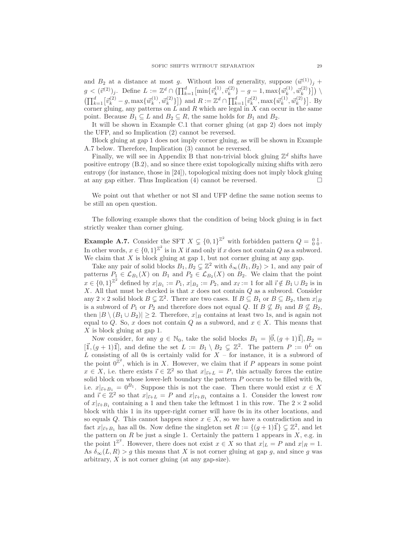and  $B_2$  at a distance at most g. Without loss of generality, suppose  $(\vec{w}^{(1)})_j$  +  $g < (\vec{v}^{(2)})_j$ . Define  $L := \mathbb{Z}^d \cap \left( \prod_{k=1}^d \left[ \min \{ \vec{v}_k^{(1)}, \vec{v}_k^{(2)} \} - g - 1, \max \{ \vec{w}_k^{(1)} \} \right] \right)$  $\left[ \begin{smallmatrix} (1)\,, \, \vec{w}^{(2)}_k \end{smallmatrix} \right]\right)\, \backslash$  $\left(\prod_{k=1}^d \left[\vec{v}_k^{(2)} - g, \max\{\vec{w}_k^{(1)}\}\right]\right)$  $(k^{(1)}, \vec{w}_k^{(2)})$  and  $R := \mathbb{Z}^d \cap \prod_{k=1}^d [\vec{v}_k^{(2)}, \max{\{\vec{w}_k^{(1)}\}}]$  $[\vec{w}_k^{(1)}, \vec{w}_k^{(2)}]$ . By corner gluing, any patterns on  $L$  and  $R$  which are legal in  $X$  can occur in the same point. Because  $B_1 \subseteq L$  and  $B_2 \subseteq R$ , the same holds for  $B_1$  and  $B_2$ .

It will be shown in Example C.1 that corner gluing (at gap 2) does not imply the UFP, and so Implication (2) cannot be reversed.

Block gluing at gap 1 does not imply corner gluing, as will be shown in Example A.7 below. Therefore, Implication (3) cannot be reversed.

Finally, we will see in Appendix B that non-trivial block gluing  $\mathbb{Z}^d$  shifts have positive entropy (B.2), and so since there exist topologically mixing shifts with zero entropy (for instance, those in [24]), topological mixing does not imply block gluing at any gap either. Thus Implication  $(4)$  cannot be reversed.

We point out that whether or not SI and UFP define the same notion seems to be still an open question.

The following example shows that the condition of being block gluing is in fact strictly weaker than corner gluing.

**Example A.7.** Consider the SFT  $X \subsetneq \{0, 1\}^{\mathbb{Z}^2}$  with forbidden pattern  $Q = \begin{bmatrix} 0 & 1 \\ 0 & 0 \end{bmatrix}$ . In other words,  $x \in \{0,1\}^{\mathbb{Z}^2}$  is in X if and only if x does not contain Q as a subword. We claim that  $X$  is block gluing at gap 1, but not corner gluing at any gap.

Take any pair of solid blocks  $B_1, B_2 \subsetneq \mathbb{Z}^2$  with  $\delta_{\infty}(B_1, B_2) > 1$ , and any pair of patterns  $P_1 \in \mathcal{L}_{B_1}(X)$  on  $B_1$  and  $P_2 \in \mathcal{L}_{B_2}(X)$  on  $B_2$ . We claim that the point  $x \in \{0,1\}^{\mathbb{Z}^2}$  defined by  $x|_{B_1} := P_1$ ,  $x|_{B_2} := P_2$ , and  $x_{\vec{i}} := 1$  for all  $\vec{i} \notin B_1 \cup B_2$  is in  $X$ . All that must be checked is that  $x$  does not contain  $Q$  as a subword. Consider any 2 × 2 solid block  $B \subsetneq \mathbb{Z}^2$ . There are two cases. If  $B \subseteq B_1$  or  $B \subseteq B_2$ , then  $x|_B$ is a subword of  $P_1$  or  $P_2$  and therefore does not equal Q. If  $B \not\subseteq B_1$  and  $B \not\subseteq B_2$ , then  $|B \setminus (B_1 \cup B_2)| \geq 2$ . Therefore,  $x|_B$  contains at least two 1s, and is again not equal to Q. So, x does not contain Q as a subword, and  $x \in X$ . This means that  $X$  is block gluing at gap 1.

Now consider, for any  $g \in \mathbb{N}_0$ , take the solid blocks  $B_1 = [\vec{0}, (g+1)\vec{1}], B_2 =$  $[\mathbb{I},(g+1)\mathbb{I}],$  and define the set  $L := B_1 \setminus B_2 \subsetneq \mathbb{Z}^2$ . The pattern  $P := 0^L$  on L consisting of all 0s is certainly valid for  $X$  – for instance, it is a subword of the point  $0^{\mathbb{Z}^2}$ , which is in X. However, we claim that if P appears in some point  $x \in X$ , i.e. there exists  $\vec{i} \in \mathbb{Z}^2$  so that  $x|_{\vec{i}+L} = P$ , this actually forces the entire solid block on whose lower-left boundary the pattern  $P$  occurs to be filled with 0s, i.e.  $x|_{\vec{i}+B_1} = 0^{B_1}$ . Suppose this is not the case. Then there would exist  $x \in X$ and  $\vec{i} \in \mathbb{Z}^2$  so that  $x|_{\vec{i}+L} = P$  and  $x|_{\vec{i}+B_1}$  contains a 1. Consider the lowest row of  $x|_{\vec{i}+B_1}$  containing a 1 and then take the leftmost 1 in this row. The  $2 \times 2$  solid block with this 1 in its upper-right corner will have 0s in its other locations, and so equals Q. This cannot happen since  $x \in X$ , so we have a contradiction and in fact  $x|_{\vec{i}+B_1}$  has all 0s. Now define the singleton set  $R := \{(g+1)\vec{1}\}\subsetneq \mathbb{Z}^2$ , and let the pattern on  $R$  be just a single 1. Certainly the pattern 1 appears in  $X$ , e.g. in the point  $1^{\mathbb{Z}^2}$ . However, there does not exist  $x \in X$  so that  $x|_L = P$  and  $x|_R = 1$ . As  $\delta_{\infty}(L,R) > g$  this means that X is not corner gluing at gap g, and since g was arbitrary, X is not corner gluing (at any gap-size).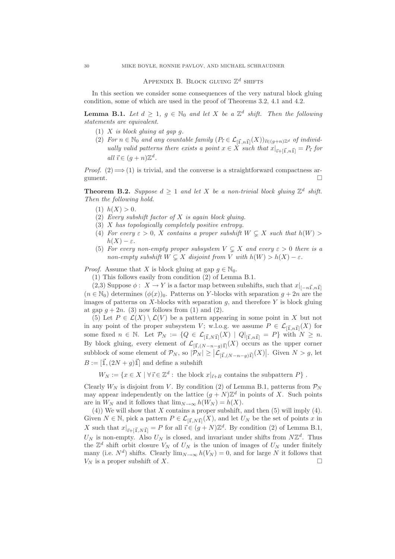### APPENDIX B. BLOCK GLUING  $\mathbb{Z}^d$  shifts

In this section we consider some consequences of the very natural block gluing condition, some of which are used in the proof of Theorems 3.2, 4.1 and 4.2.

**Lemma B.1.** Let  $d \geq 1$ ,  $g \in \mathbb{N}_0$  and let X be a  $\mathbb{Z}^d$  shift. Then the following statements are equivalent.

- (1)  $X$  is block gluing at gap  $g$ .
- (2) For  $n \in \mathbb{N}_0$  and any countable family  $(P_{\vec{i}} \in \mathcal{L}_{[\vec{1}, n\vec{1}]}(X))_{\vec{i} \in (g+n)\mathbb{Z}^d}$  of individually valid patterns there exists a point  $x \in X$  such that  $x|_{\vec{i} + [\vec{1}, n\vec{1}]} = P_{\vec{i}}$  for all  $\vec{i} \in (g+n)\mathbb{Z}^d$ .

*Proof.* (2)  $\Longrightarrow$  (1) is trivial, and the converse is a straightforward compactness argument. gument.

**Theorem B.2.** Suppose  $d \geq 1$  and let X be a non-trivial block gluing  $\mathbb{Z}^d$  shift. Then the following hold.

- (1)  $h(X) > 0$ .
- (2) Every subshift factor of  $X$  is again block gluing.
- (3) X has topologically completely positive entropy.
- (4) For every  $\varepsilon > 0$ , X contains a proper subshift  $W \subseteq X$  such that  $h(W) >$  $h(X) - \varepsilon$ .
- (5) For every non-empty proper subsystem  $V \subseteq X$  and every  $\varepsilon > 0$  there is a non-empty subshift  $W \subseteq X$  disjoint from V with  $h(W) > h(X) - \varepsilon$ .

*Proof.* Assume that X is block gluing at gap  $q \in \mathbb{N}_0$ .

(1) This follows easily from condition (2) of Lemma B.1.

(2,3) Suppose  $\phi$  :  $X \to Y$  is a factor map between subshifts, such that  $x|_{[-n\vec{1},n\vec{1}]}$  $(n \in \mathbb{N}_0)$  determines  $(\phi(x))_0$ . Patterns on Y-blocks with separation  $g + 2n$  are the images of patterns on X-blocks with separation  $q$ , and therefore Y is block gluing at gap  $q + 2n$ . (3) now follows from (1) and (2).

(5) Let  $P \in \mathcal{L}(X) \setminus \mathcal{L}(V)$  be a pattern appearing in some point in X but not in any point of the proper subsystem V; w.l.o.g. we assume  $P \in \mathcal{L}_{[\vec{1}, n\vec{1}]}(X)$  for some fixed  $n \in \mathbb{N}$ . Let  $\mathcal{P}_N := \{Q \in \mathcal{L}_{[\vec{1},N\vec{1}]}(X) \mid Q|_{[\vec{1},n\vec{1}]} = P\}$  with  $N \geq n$ . By block gluing, every element of  $\mathcal{L}_{\left[\vec{1},(N-n-g)\vec{1}\right]}(X)$  occurs as the upper corner subblock of some element of  $\mathcal{P}_N$ , so  $|\mathcal{P}_N| \geq |\mathcal{L}_{[\vec{1},(N-n-g)\vec{1}]}(X)|$ . Given  $N > g$ , let  $B := [\vec{1}, (2N + q)\vec{1}]$  and define a subshift

 $W_N := \{x \in X \mid \forall \, \overline{\imath} \in \mathbb{Z}^d : \text{ the block } x|_{\overline{\imath} + B} \text{ contains the subpattern } P\} .$ 

Clearly  $W_N$  is disjoint from V. By condition (2) of Lemma B.1, patterns from  $\mathcal{P}_N$ may appear independently on the lattice  $(g+N)\mathbb{Z}^d$  in points of X. Such points are in  $W_N$  and it follows that  $\lim_{N\to\infty} h(W_N) = h(X)$ .

 $(4)$ ) We will show that X contains a proper subshift, and then  $(5)$  will imply  $(4)$ . Given  $N \in \mathbb{N}$ , pick a pattern  $P \in \mathcal{L}_{[\vec{1},N\vec{1}]}(X)$ , and let  $U_N$  be the set of points x in X such that  $x|_{\vec{i}+[\vec{1},N\vec{1}]} = P$  for all  $\vec{i} \in (g+N)\mathbb{Z}^d$ . By condition (2) of Lemma B.1,  $U_N$  is non-empty. Also  $U_N$  is closed, and invariant under shifts from  $N\mathbb{Z}^d$ . Thus the  $\mathbb{Z}^d$  shift orbit closure  $V_N$  of  $U_N$  is the union of images of  $U_N$  under finitely many (i.e.  $N^d$ ) shifts. Clearly  $\lim_{N\to\infty} h(V_N) = 0$ , and for large N it follows that  $V_N$  is a proper subshift of X.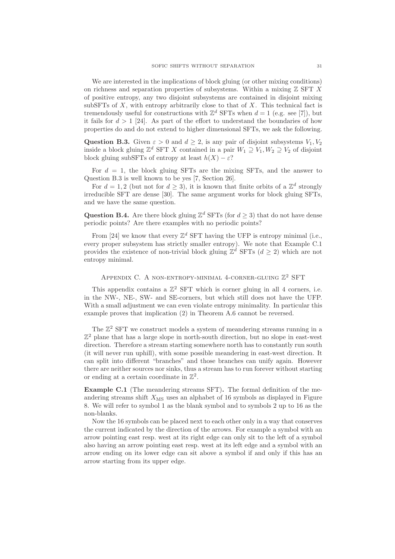We are interested in the implications of block gluing (or other mixing conditions) on richness and separation properties of subsystems. Within a mixing  $\mathbb Z$  SFT X of positive entropy, any two disjoint subsystems are contained in disjoint mixing subSFTs of  $X$ , with entropy arbitrarily close to that of  $X$ . This technical fact is tremendously useful for constructions with  $\mathbb{Z}^d$  SFTs when  $d = 1$  (e.g. see [7]), but it fails for  $d > 1$  [24]. As part of the effort to understand the boundaries of how properties do and do not extend to higher dimensional SFTs, we ask the following.

Question B.3. Given  $\varepsilon > 0$  and  $d > 2$ , is any pair of disjoint subsystems  $V_1, V_2$ inside a block gluing  $\mathbb{Z}^d$  SFT X contained in a pair  $W_1 \supseteq V_1, W_2 \supseteq V_2$  of disjoint block gluing subSFTs of entropy at least  $h(X) - \varepsilon$ ?

For  $d = 1$ , the block gluing SFTs are the mixing SFTs, and the answer to Question B.3 is well known to be yes [7, Section 26].

For  $d = 1, 2$  (but not for  $d \geq 3$ ), it is known that finite orbits of a  $\mathbb{Z}^d$  strongly irreducible SFT are dense [30]. The same argument works for block gluing SFTs, and we have the same question.

**Question B.4.** Are there block gluing  $\mathbb{Z}^d$  SFTs (for  $d \geq 3$ ) that do not have dense periodic points? Are there examples with no periodic points?

From [24] we know that every  $\mathbb{Z}^d$  SFT having the UFP is entropy minimal (i.e., every proper subsystem has strictly smaller entropy). We note that Example C.1 provides the existence of non-trivial block gluing  $\mathbb{Z}^d$  SFTs  $(d \geq 2)$  which are not entropy minimal.

### APPENDIX C. A NON-ENTROPY-MINIMAL 4-CORNER-GLUING  $\mathbb{Z}^2$  SFT

This appendix contains a  $\mathbb{Z}^2$  SFT which is corner gluing in all 4 corners, i.e. in the NW-, NE-, SW- and SE-corners, but which still does not have the UFP. With a small adjustment we can even violate entropy minimality. In particular this example proves that implication (2) in Theorem A.6 cannot be reversed.

The  $\mathbb{Z}^2$  SFT we construct models a system of meandering streams running in a  $\mathbb{Z}^2$  plane that has a large slope in north-south direction, but no slope in east-west direction. Therefore a stream starting somewhere north has to constantly run south (it will never run uphill), with some possible meandering in east-west direction. It can split into different "branches" and those branches can unify again. However there are neither sources nor sinks, thus a stream has to run forever without starting or ending at a certain coordinate in  $\mathbb{Z}^2$ .

Example C.1 (The meandering streams SFT). The formal definition of the meandering streams shift  $X_{\text{MS}}$  uses an alphabet of 16 symbols as displayed in Figure 8. We will refer to symbol 1 as the blank symbol and to symbols 2 up to 16 as the non-blanks.

Now the 16 symbols can be placed next to each other only in a way that conserves the current indicated by the direction of the arrows. For example a symbol with an arrow pointing east resp. west at its right edge can only sit to the left of a symbol also having an arrow pointing east resp. west at its left edge and a symbol with an arrow ending on its lower edge can sit above a symbol if and only if this has an arrow starting from its upper edge.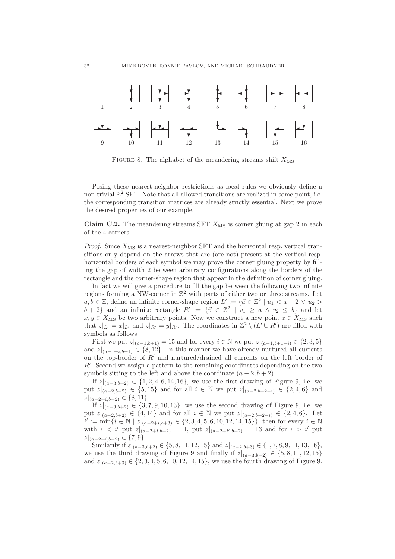

FIGURE 8. The alphabet of the meandering streams shift  $X_{\text{MS}}$ 

Posing these nearest-neighbor restrictions as local rules we obviously define a non-trivial  $\mathbb{Z}^2$  SFT. Note that all allowed transitions are realized in some point, i.e. the corresponding transition matrices are already strictly essential. Next we prove the desired properties of our example.

Claim C.2. The meandering streams SFT  $X_{\text{MS}}$  is corner gluing at gap 2 in each of the 4 corners.

*Proof.* Since  $X_{\text{MS}}$  is a nearest-neighbor SFT and the horizontal resp. vertical transitions only depend on the arrows that are (are not) present at the vertical resp. horizontal borders of each symbol we may prove the corner gluing property by filling the gap of width 2 between arbitrary configurations along the borders of the rectangle and the corner-shape region that appear in the definition of corner gluing.

In fact we will give a procedure to fill the gap between the following two infinite regions forming a NW-corner in  $\mathbb{Z}^2$  with parts of either two or three streams. Let  $a, b \in \mathbb{Z}$ , define an infinite corner-shape region  $L' := \{ \vec{u} \in \mathbb{Z}^2 \mid u_1 < a - 2 \vee u_2 > a \}$  $b + 2$  and an infinite rectangle  $R' := \{\vec{v} \in \mathbb{Z}^2 \mid v_1 \ge a \land v_2 \le b\}$  and let  $x, y \in X_{\text{MS}}$  be two arbitrary points. Now we construct a new point  $z \in X_{\text{MS}}$  such that  $z|_{L'} = x|_{L'}$  and  $z|_{R'} = y|_{R'}$ . The coordinates in  $\mathbb{Z}^2 \setminus (L' \cup R')$  are filled with symbols as follows.

First we put  $z|_{(a-1,b+1)} = 15$  and for every  $i \in \mathbb{N}$  we put  $z|_{(a-1,b+1-i)} \in \{2,3,5\}$ and  $z|_{(a-1+i,b+1)} \in \{8,12\}$ . In this manner we have already nurtured all currents on the top-border of  $R'$  and nurtured/drained all currents on the left border of R′ . Second we assign a pattern to the remaining coordinates depending on the two symbols sitting to the left and above the coordinate  $(a - 2, b + 2)$ .

If  $z|_{(a-3,b+2)} \in \{1,2,4,6,14,16\}$ , we use the first drawing of Figure 9, i.e. we put  $z|_{(a-2,b+2)} \in \{5,15\}$  and for all  $i \in \mathbb{N}$  we put  $z|_{(a-2,b+2-i)} \in \{2,4,6\}$  and  $z|_{(a-2+i,b+2)} \in \{8,11\}.$ 

If  $z|_{(a-3,b+2)} \in \{3, 7, 9, 10, 13\}$ , we use the second drawing of Figure 9, i.e. we put  $z|_{(a-2,b+2)} \in \{4,14\}$  and for all  $i \in \mathbb{N}$  we put  $z|_{(a-2,b+2-i)} \in \{2,4,6\}$ . Let  $i' := \min\{i \in \mathbb{N} \mid z|_{(a-2+i,b+3)} \in \{2,3,4,5,6,10,12,14,15\}\},\$ then for every  $i \in \mathbb{N}$ with  $i < i'$  put  $z|_{(a-2+i,b+2)} = 1$ , put  $z|_{(a-2+i',b+2)} = 13$  and for  $i > i'$  put  $|z|_{(a-2+i,b+2)} \in \{7,9\}.$ 

Similarily if  $z|_{(a-3,b+2)} \in \{5, 8, 11, 12, 15\}$  and  $z|_{(a-2,b+3)} \in \{1, 7, 8, 9, 11, 13, 16\},$ we use the third drawing of Figure 9 and finally if  $z|_{(a-3,b+2)} \in \{5,8,11,12,15\}$ and  $z|_{(a-2,b+3)} \in \{2,3,4,5,6,10,12,14,15\}$ , we use the fourth drawing of Figure 9.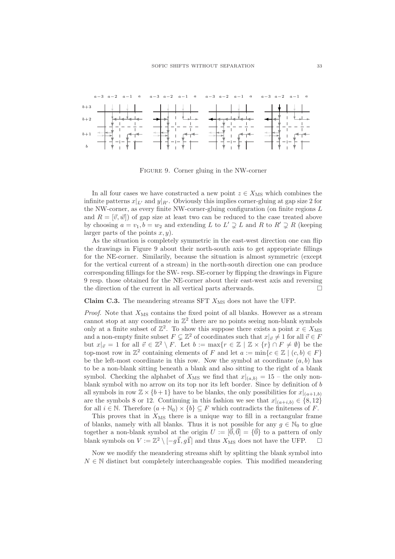

Figure 9. Corner gluing in the NW-corner

In all four cases we have constructed a new point  $z \in X_{\text{MS}}$  which combines the infinite patterns  $x|_{L'}$  and  $y|_{R'}$ . Obviously this implies corner-gluing at gap size 2 for the NW-corner, as every finite NW-corner-gluing configuration (on finite regions L and  $R = [\vec{v}, \vec{w}]$  of gap size at least two can be reduced to the case treated above by choosing  $a = v_1, b = w_2$  and extending L to  $L' \supsetneq L$  and R to  $R' \supsetneq R$  (keeping larger parts of the points  $x, y$ .

As the situation is completely symmetric in the east-west direction one can flip the drawings in Figure 9 about their north-south axis to get appropriate fillings for the NE-corner. Similarily, because the situation is almost symmetric (except for the vertical current of a stream) in the north-south direction one can produce corresponding fillings for the SW- resp. SE-corner by flipping the drawings in Figure 9 resp. those obtained for the NE-corner about their east-west axis and reversing the direction of the current in all vertical parts afterwards.  $\Box$ 

Claim C.3. The meandering streams SFT  $X_{\text{MS}}$  does not have the UFP.

*Proof.* Note that  $X_{\text{MS}}$  contains the fixed point of all blanks. However as a stream cannot stop at any coordinate in  $\mathbb{Z}^2$  there are no points seeing non-blank symbols only at a finite subset of  $\mathbb{Z}^2$ . To show this suppose there exists a point  $x \in X_{\text{MS}}$ and a non-empty finite subset  $F \subsetneq \mathbb{Z}^2$  of coordinates such that  $x|_{\vec{v}} \neq 1$  for all  $\vec{v} \in F$ but  $x|_{\vec{v}} = 1$  for all  $\vec{v} \in \mathbb{Z}^2 \setminus F$ . Let  $b := \max\{r \in \mathbb{Z} \mid \mathbb{Z} \times \{r\} \cap F \neq \emptyset\}$  be the top-most row in  $\mathbb{Z}^2$  containing elements of F and let  $a := \min\{c \in \mathbb{Z} \mid (c, b) \in F\}$ be the left-most coordinate in this row. Now the symbol at coordinate  $(a, b)$  has to be a non-blank sitting beneath a blank and also sitting to the right of a blank symbol. Checking the alphabet of  $X_{\text{MS}}$  we find that  $x|_{(a,b)} = 15$  – the only nonblank symbol with no arrow on its top nor its left border. Since by definition of b all symbols in row  $\mathbb{Z} \times \{b+1\}$  have to be blanks, the only possibilities for  $x|_{(a+1,b)}$ are the symbols 8 or 12. Continuing in this fashion we see that  $x|_{(a+i,b)} \in \{8,12\}$ for all  $i \in \mathbb{N}$ . Therefore  $(a + \mathbb{N}_0) \times \{b\} \subseteq F$  which contradicts the finiteness of F.

This proves that in  $X_{\text{MS}}$  there is a unique way to fill in a rectangular frame of blanks, namely with all blanks. Thus it is not possible for any  $g \in \mathbb{N}_0$  to glue together a non-blank symbol at the origin  $U := [\vec{0}, \vec{0}] = {\vec{0}}$  to a pattern of only blank symbols on  $V = \mathbb{Z}^2 \setminus [-a\vec{1}]$  and thus  $X_{\text{MS}}$  does not have the UFP blank symbols on  $V := \mathbb{Z}^2 \setminus [-g\vec{\mathbb{1}},g\vec{\mathbb{1}}]$  and thus  $X_{\text{MS}}$  does not have the UFP.  $\Box$ 

Now we modify the meandering streams shift by splitting the blank symbol into  $N \in \mathbb{N}$  distinct but completely interchangeable copies. This modified meandering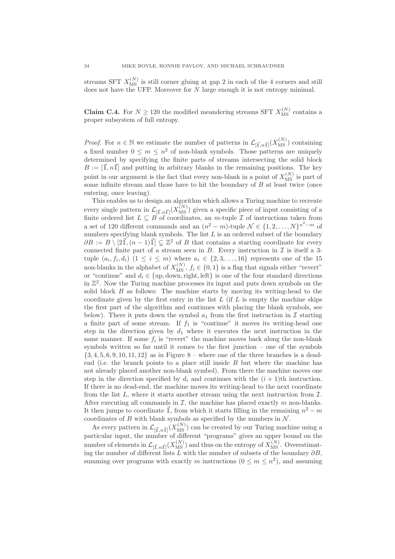streams SFT  $X_{\text{MS}}^{(N)}$  is still corner gluing at gap 2 in each of the 4 corners and still does not have the UFP. Moreover for N large enough it is not entropy minimal.

**Claim C.4.** For  $N \ge 120$  the modified meandering streams SFT  $X_{\text{MS}}^{(N)}$  contains a proper subsystem of full entropy.

*Proof.* For  $n \in \mathbb{N}$  we estimate the number of patterns in  $\mathcal{L}_{\left[\vec{\mathbf{I}},n\vec{\mathbf{I}}\right]}(X_{\text{MS}}^{(N)})$  containing a fixed number  $0 \leq m \leq n^2$  of non-blank symbols. Those patterns are uniquely determined by specifying the finite parts of streams intersecting the solid block  $B := [\vec{1}, n\vec{1}]$  and putting in arbitrary blanks in the remaining positions. The key point in our argument is the fact that every non-blank in a point of  $X_{\text{MS}}^{(N)}$  is part of some infinite stream and those have to hit the boundary of  $B$  at least twice (once entering, once leaving).

This enables us to design an algorithm which allows a Turing machine to recreate every single pattern in  $\mathcal{L}_{[\vec{1},n\vec{1}]}(X_{\text{MS}}^{(N)})$  given a specific piece of input consisting of a finite ordered list  $L \subseteq B$  of coordinates, an m-tuple  $\mathcal I$  of instructions taken from a set of 120 different commands and an  $(n^2 - m)$ -tuple  $\mathcal{N} \in \{1, 2, ..., N\}^{n^2 - m}$  of numbers specifying blank symbols. The list  $L$  is an ordered subset of the boundary  $\partial B := B \setminus [2\vec{1},(n-1)\vec{1}] \subsetneq \mathbb{Z}^2$  of B that contains a starting coordinate for every connected finite part of a stream seen in  $B$ . Every instruction in  $\mathcal I$  is itself a 3tuple  $(a_i, f_i, d_i)$   $(1 \leq i \leq m)$  where  $a_i \in \{2, 3, ..., 16\}$  represents one of the 15 non-blanks in the alphabet of  $X_{\text{MS}}^{(N)}$ ,  $f_i \in \{0, 1\}$  is a flag that signals either "revert" or "continue" and  $d_i \in \{up, down, right, left\}$  is one of the four standard directions in  $\mathbb{Z}^2$ . Now the Turing machine processes its input and puts down symbols on the solid block  $B$  as follows: The machine starts by moving its writing-head to the coordinate given by the first entry in the list  $L$  (if  $L$  is empty the machine skips the first part of the algorithm and continues with placing the blank symbols, see below). There it puts down the symbol  $a_1$  from the first instruction in  $\mathcal I$  starting a finite part of some stream. If  $f_1$  is "continue" it moves its writing-head one step in the direction given by  $d_1$  where it executes the next instruction in the same manner. If some  $f_i$  is "revert" the machine moves back along the non-blank symbols written so far until it comes to the first junction – one of the symbols  $\{3, 4, 5, 6, 9, 10, 11, 12\}$  as in Figure 8 – where one of the three branches is a deadend (i.e. the branch points to a place still inside  $B$  but where the machine has not already placed another non-blank symbol). From there the machine moves one step in the direction specified by  $d_i$  and continues with the  $(i + 1)$ th instruction. If there is no dead-end, the machine moves its writing-head to the next coordinate from the list  $L$ , where it starts another stream using the next instruction from  $\mathcal{I}$ . After executing all commands in  $I$ , the machine has placed exactly  $m$  non-blanks. It then jumps to coordinate  $\vec{\mathbb{I}}$ , from which it starts filling in the remaining  $n^2 - m$ coordinates of  $B$  with blank symbols as specified by the numbers in  $\mathcal{N}$ .

As every pattern in  $\mathcal{L}_{[\vec{1},n\vec{1}]}(X_{\text{MS}}^{(N)})$  can be created by our Turing machine using a particular input, the number of different "programs" gives an upper bound on the number of elements in  $\mathcal{L}_{[\vec{1},n\vec{1}]}(X_{\text{MS}}^{(N)})$  and thus on the entropy of  $X_{\text{MS}}^{(N)}$ . Overestimating the number of different lists L with the number of subsets of the boundary  $\partial B$ , summing over programs with exactly m instructions  $(0 \le m \le n^2)$ , and assuming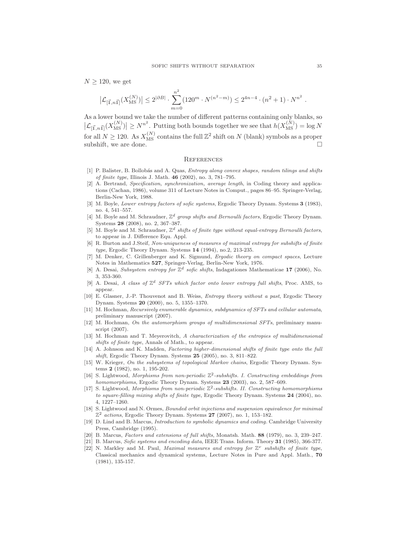$N \geq 120$ , we get

$$
\left|\mathcal{L}_{[\vec{1},n\vec{1}]}(X_{\text{MS}}^{(N)})\right| \le 2^{|\partial B|} \cdot \sum_{m=0}^{n^2} (120^m \cdot N^{(n^2-m)}) \le 2^{4n-4} \cdot (n^2+1) \cdot N^{n^2}
$$

As a lower bound we take the number of different patterns containing only blanks, so  $\left|\mathcal{L}_{\left[\vec{\mathbf{I}},n\vec{\mathbf{I}}\right]}(X_{\text{MS}}^{(N)})\right| \geq N^{n^2}$ . Putting both bounds together we see that  $h(X_{\text{MS}}^{(N)}) = \log N$ for all  $N \ge 120$ . As  $X_{\text{MS}}^{(N)}$  contains the full  $\mathbb{Z}^2$  shift on N (blank) symbols as a proper subshift, we are done.

#### **REFERENCES**

- [1] P. Balister, B. Bollobás and A. Quas, *Entropy along convex shapes, random tilings and shifts* of finite type, Illinois J. Math. 46 (2002), no. 3, 781–795.
- [2] A. Bertrand, Specification, synchronization, average length, in Coding theory and applications (Cachan, 1986), volume 311 of Lecture Notes in Comput., pages 86–95. Springer-Verlag, Berlin-New York, 1988.
- [3] M. Boyle, Lower entropy factors of sofic systems, Ergodic Theory Dynam. Systems 3 (1983), no. 4, 541–557.
- [4] M. Boyle and M. Schraudner,  $\mathbb{Z}^d$  group shifts and Bernoulli factors, Ergodic Theory Dynam. Systems 28 (2008), no. 2, 367–387.
- [5] M. Boyle and M. Schraudner,  $\mathbb{Z}^d$  shifts of finite type without equal-entropy Bernoulli factors, to appear in J. Difference Equ. Appl.
- [6] R. Burton and J.Steif, Non-uniqueness of measures of maximal entropy for subshifts of finite type, Ergodic Theory Dynam. Systems 14 (1994), no.2, 213-235.
- [7] M. Denker, C. Grillenberger and K. Sigmund, Ergodic theory on compact spaces, Lecture Notes in Mathematics 527, Springer-Verlag, Berlin-New York, 1976.
- [8] A. Desai, Subsystem entropy for  $\mathbb{Z}^d$  sofic shifts, Indagationes Mathematicae 17 (2006), No. 3, 353-360.
- [9] A. Desai, A class of  $\mathbb{Z}^d$  SFTs which factor onto lower entropy full shifts, Proc. AMS, to appear.
- [10] E. Glasner, J.-P. Thouvenot and B. Weiss, Entropy theory without a past, Ergodic Theory Dynam. Systems 20 (2000), no. 5, 1355–1370.
- [11] M. Hochman, Recursively enumerable dynamics, subdynamics of SFTs and cellular automata, preliminary manuscript (2007).
- [12] M. Hochman, On the automorphism groups of multidimensional SFTs, preliminary manuscript (2007).
- [13] M. Hochman and T. Meyerovitch, A characterization of the entropies of multidimensional shifts of finite type, Annals of Math., to appear.
- [14] A. Johnson and K. Madden, Factoring higher-dimensional shifts of finite type onto the full shift, Ergodic Theory Dynam. Systems 25 (2005), no. 3, 811–822.
- [15] W. Krieger, On the subsystems of topological Markov chains, Ergodic Theory Dynam. Systems 2 (1982), no. 1, 195-202.
- [16] S. Lightwood, Morphisms from non-periodic  $\mathbb{Z}^2$ -subshifts. I. Constructing embeddings from homomorphisms, Ergodic Theory Dynam. Systems 23 (2003), no. 2, 587–609.
- [17] S. Lightwood, Morphisms from non-periodic  $\mathbb{Z}^2$ -subshifts. II. Constructing homomorphisms to square-filling mixing shifts of finite type, Ergodic Theory Dynam. Systems 24 (2004), no. 4, 1227–1260.
- [18] S. Lightwood and N. Ormes, Bounded orbit injections and suspension equivalence for minimal  $\mathbb{Z}^2$  actions, Ergodic Theory Dynam. Systems 27 (2007), no. 1, 153-182.
- [19] D. Lind and B. Marcus, *Introduction to symbolic dynamics and coding*. Cambridge University Press, Cambridge (1995).
- [20] B. Marcus, Factors and extensions of full shifts, Monatsh. Math. 88 (1979), no. 3, 239–247.
- [21] B. Marcus, *Sofic systems and encoding data*, IEEE Trans. Inform. Theory **31** (1985), 366-377.
- [22] N. Markley and M. Paul, *Maximal measures and entropy for*  $\mathbb{Z}^{\nu}$  subshifts of finite type, Classical mechanics and dynamical systems, Lecture Notes in Pure and Appl. Math., 70 (1981), 135-157.

.